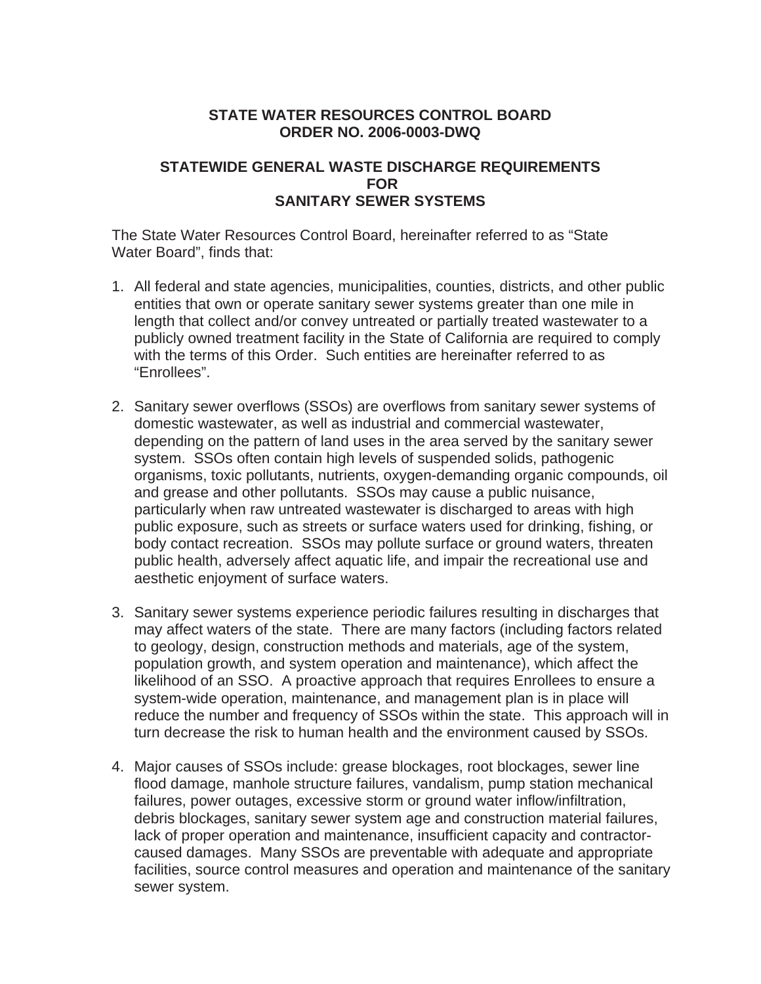## **STATE WATER RESOURCES CONTROL BOARD ORDER NO. 2006-0003-DWQ**

#### **STATEWIDE GENERAL WASTE DISCHARGE REQUIREMENTS FOR SANITARY SEWER SYSTEMS**

The State Water Resources Control Board, hereinafter referred to as "State Water Board", finds that:

- 1. All federal and state agencies, municipalities, counties, districts, and other public entities that own or operate sanitary sewer systems greater than one mile in length that collect and/or convey untreated or partially treated wastewater to a publicly owned treatment facility in the State of California are required to comply with the terms of this Order. Such entities are hereinafter referred to as "Enrollees".
- 2. Sanitary sewer overflows (SSOs) are overflows from sanitary sewer systems of domestic wastewater, as well as industrial and commercial wastewater, depending on the pattern of land uses in the area served by the sanitary sewer system. SSOs often contain high levels of suspended solids, pathogenic organisms, toxic pollutants, nutrients, oxygen-demanding organic compounds, oil and grease and other pollutants. SSOs may cause a public nuisance, particularly when raw untreated wastewater is discharged to areas with high public exposure, such as streets or surface waters used for drinking, fishing, or body contact recreation. SSOs may pollute surface or ground waters, threaten public health, adversely affect aquatic life, and impair the recreational use and aesthetic enjoyment of surface waters.
- 3. Sanitary sewer systems experience periodic failures resulting in discharges that may affect waters of the state. There are many factors (including factors related to geology, design, construction methods and materials, age of the system, population growth, and system operation and maintenance), which affect the likelihood of an SSO. A proactive approach that requires Enrollees to ensure a system-wide operation, maintenance, and management plan is in place will reduce the number and frequency of SSOs within the state. This approach will in turn decrease the risk to human health and the environment caused by SSOs.
- 4. Major causes of SSOs include: grease blockages, root blockages, sewer line flood damage, manhole structure failures, vandalism, pump station mechanical failures, power outages, excessive storm or ground water inflow/infiltration, debris blockages, sanitary sewer system age and construction material failures, lack of proper operation and maintenance, insufficient capacity and contractorcaused damages. Many SSOs are preventable with adequate and appropriate facilities, source control measures and operation and maintenance of the sanitary sewer system.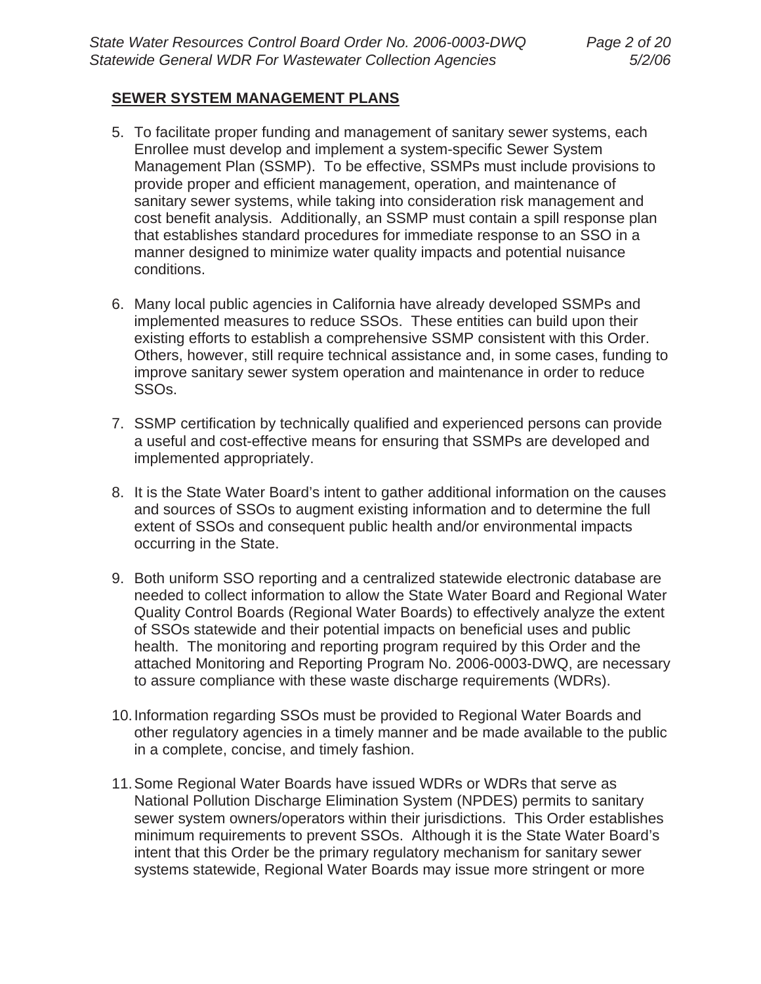#### **SEWER SYSTEM MANAGEMENT PLANS**

- 5. To facilitate proper funding and management of sanitary sewer systems, each Enrollee must develop and implement a system-specific Sewer System Management Plan (SSMP). To be effective, SSMPs must include provisions to provide proper and efficient management, operation, and maintenance of sanitary sewer systems, while taking into consideration risk management and cost benefit analysis. Additionally, an SSMP must contain a spill response plan that establishes standard procedures for immediate response to an SSO in a manner designed to minimize water quality impacts and potential nuisance conditions.
- 6. Many local public agencies in California have already developed SSMPs and implemented measures to reduce SSOs. These entities can build upon their existing efforts to establish a comprehensive SSMP consistent with this Order. Others, however, still require technical assistance and, in some cases, funding to improve sanitary sewer system operation and maintenance in order to reduce SSOs.
- 7. SSMP certification by technically qualified and experienced persons can provide a useful and cost-effective means for ensuring that SSMPs are developed and implemented appropriately.
- 8. It is the State Water Board's intent to gather additional information on the causes and sources of SSOs to augment existing information and to determine the full extent of SSOs and consequent public health and/or environmental impacts occurring in the State.
- 9. Both uniform SSO reporting and a centralized statewide electronic database are needed to collect information to allow the State Water Board and Regional Water Quality Control Boards (Regional Water Boards) to effectively analyze the extent of SSOs statewide and their potential impacts on beneficial uses and public health. The monitoring and reporting program required by this Order and the attached Monitoring and Reporting Program No. 2006-0003-DWQ, are necessary to assure compliance with these waste discharge requirements (WDRs).
- 10. Information regarding SSOs must be provided to Regional Water Boards and other regulatory agencies in a timely manner and be made available to the public in a complete, concise, and timely fashion.
- 11. Some Regional Water Boards have issued WDRs or WDRs that serve as National Pollution Discharge Elimination System (NPDES) permits to sanitary sewer system owners/operators within their jurisdictions. This Order establishes minimum requirements to prevent SSOs. Although it is the State Water Board's intent that this Order be the primary regulatory mechanism for sanitary sewer systems statewide, Regional Water Boards may issue more stringent or more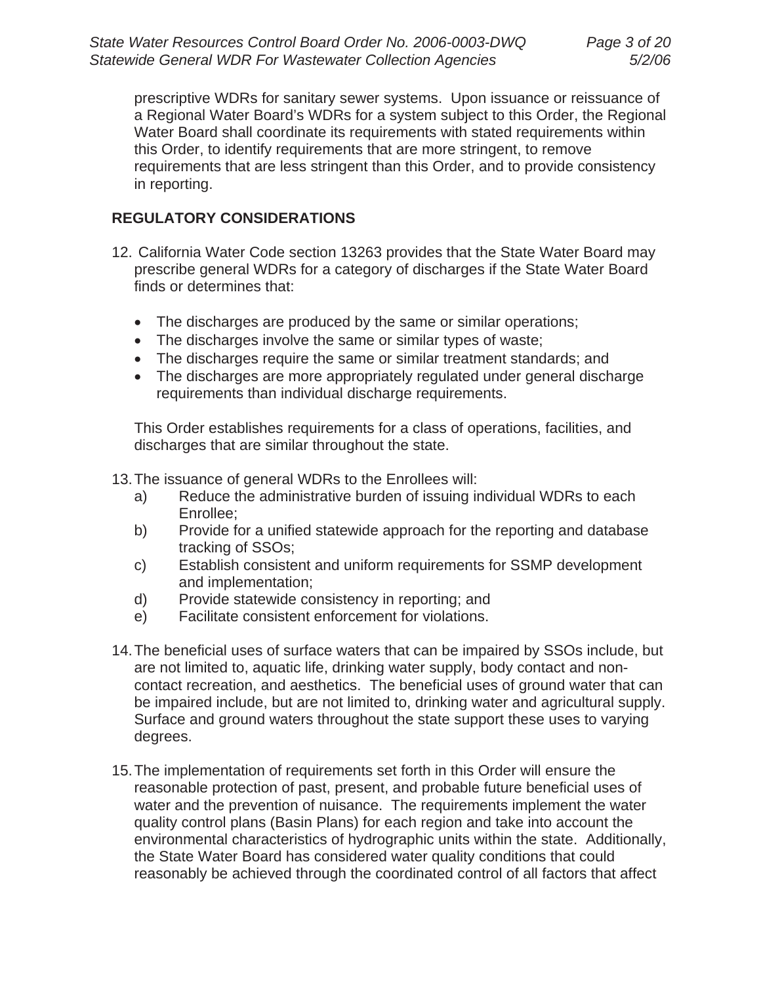prescriptive WDRs for sanitary sewer systems. Upon issuance or reissuance of a Regional Water Board's WDRs for a system subject to this Order, the Regional Water Board shall coordinate its requirements with stated requirements within this Order, to identify requirements that are more stringent, to remove requirements that are less stringent than this Order, and to provide consistency in reporting.

## **REGULATORY CONSIDERATIONS**

- 12. California Water Code section 13263 provides that the State Water Board may prescribe general WDRs for a category of discharges if the State Water Board finds or determines that:
	- The discharges are produced by the same or similar operations;
	- The discharges involve the same or similar types of waste;
	- The discharges require the same or similar treatment standards; and
	- The discharges are more appropriately regulated under general discharge requirements than individual discharge requirements.

This Order establishes requirements for a class of operations, facilities, and discharges that are similar throughout the state.

13. The issuance of general WDRs to the Enrollees will:

- a) Reduce the administrative burden of issuing individual WDRs to each Enrollee;
- b) Provide for a unified statewide approach for the reporting and database tracking of SSOs;
- c) Establish consistent and uniform requirements for SSMP development and implementation;
- d) Provide statewide consistency in reporting; and
- e) Facilitate consistent enforcement for violations.
- 14. The beneficial uses of surface waters that can be impaired by SSOs include, but are not limited to, aquatic life, drinking water supply, body contact and noncontact recreation, and aesthetics. The beneficial uses of ground water that can be impaired include, but are not limited to, drinking water and agricultural supply. Surface and ground waters throughout the state support these uses to varying degrees.
- 15. The implementation of requirements set forth in this Order will ensure the reasonable protection of past, present, and probable future beneficial uses of water and the prevention of nuisance. The requirements implement the water quality control plans (Basin Plans) for each region and take into account the environmental characteristics of hydrographic units within the state. Additionally, the State Water Board has considered water quality conditions that could reasonably be achieved through the coordinated control of all factors that affect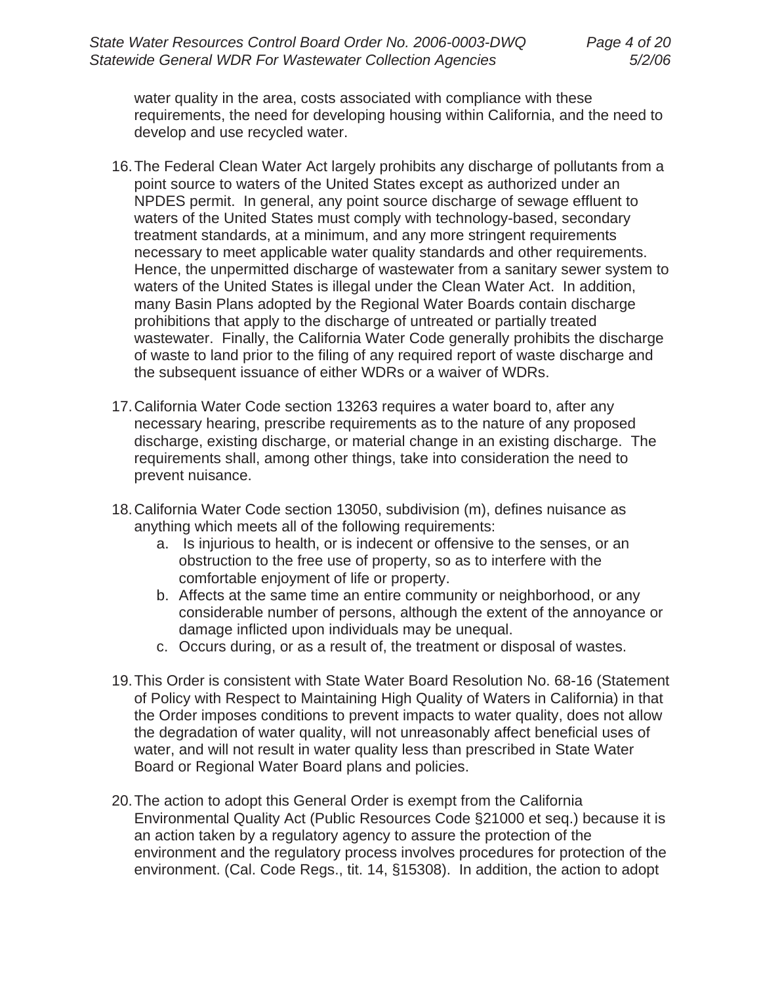water quality in the area, costs associated with compliance with these requirements, the need for developing housing within California, and the need to develop and use recycled water.

- 16. The Federal Clean Water Act largely prohibits any discharge of pollutants from a point source to waters of the United States except as authorized under an NPDES permit. In general, any point source discharge of sewage effluent to waters of the United States must comply with technology-based, secondary treatment standards, at a minimum, and any more stringent requirements necessary to meet applicable water quality standards and other requirements. Hence, the unpermitted discharge of wastewater from a sanitary sewer system to waters of the United States is illegal under the Clean Water Act. In addition, many Basin Plans adopted by the Regional Water Boards contain discharge prohibitions that apply to the discharge of untreated or partially treated wastewater. Finally, the California Water Code generally prohibits the discharge of waste to land prior to the filing of any required report of waste discharge and the subsequent issuance of either WDRs or a waiver of WDRs.
- 17. California Water Code section 13263 requires a water board to, after any necessary hearing, prescribe requirements as to the nature of any proposed discharge, existing discharge, or material change in an existing discharge. The requirements shall, among other things, take into consideration the need to prevent nuisance.
- 18. California Water Code section 13050, subdivision (m), defines nuisance as anything which meets all of the following requirements:
	- a. Is injurious to health, or is indecent or offensive to the senses, or an obstruction to the free use of property, so as to interfere with the comfortable enjoyment of life or property.
	- b. Affects at the same time an entire community or neighborhood, or any considerable number of persons, although the extent of the annoyance or damage inflicted upon individuals may be unequal.
	- c. Occurs during, or as a result of, the treatment or disposal of wastes.
- 19. This Order is consistent with State Water Board Resolution No. 68-16 (Statement of Policy with Respect to Maintaining High Quality of Waters in California) in that the Order imposes conditions to prevent impacts to water quality, does not allow the degradation of water quality, will not unreasonably affect beneficial uses of water, and will not result in water quality less than prescribed in State Water Board or Regional Water Board plans and policies.
- 20. The action to adopt this General Order is exempt from the California Environmental Quality Act (Public Resources Code §21000 et seq.) because it is an action taken by a regulatory agency to assure the protection of the environment and the regulatory process involves procedures for protection of the environment. (Cal. Code Regs., tit. 14, §15308). In addition, the action to adopt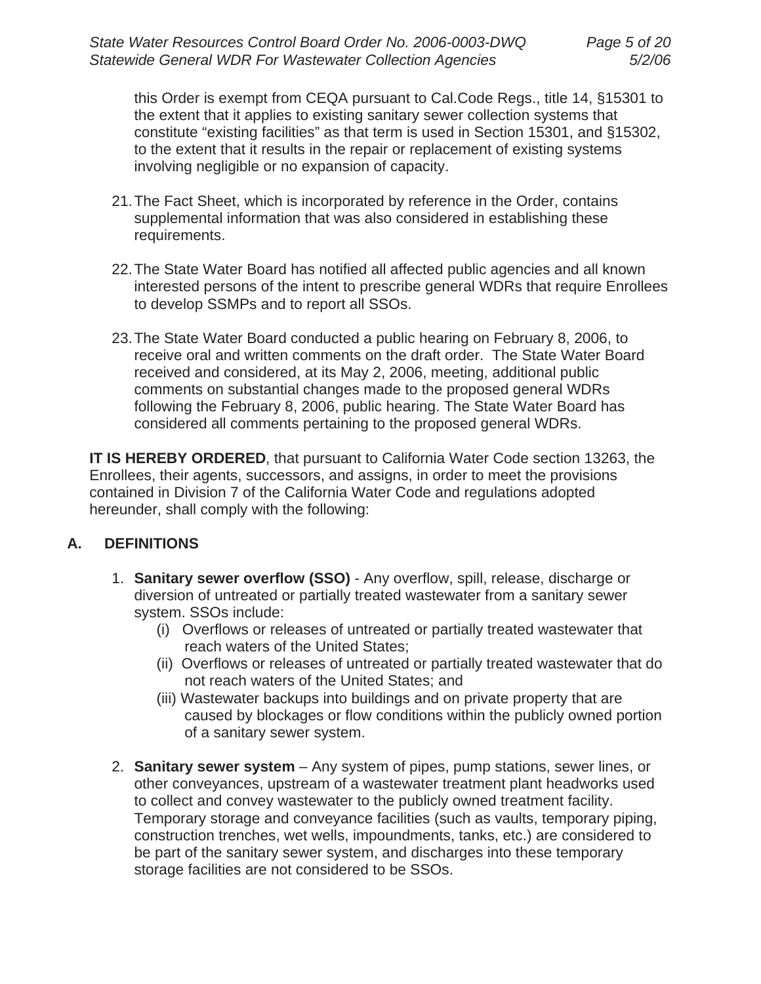this Order is exempt from CEQA pursuant to Cal.Code Regs., title 14, §15301 to the extent that it applies to existing sanitary sewer collection systems that constitute "existing facilities" as that term is used in Section 15301, and §15302, to the extent that it results in the repair or replacement of existing systems involving negligible or no expansion of capacity.

- 21. The Fact Sheet, which is incorporated by reference in the Order, contains supplemental information that was also considered in establishing these requirements.
- 22. The State Water Board has notified all affected public agencies and all known interested persons of the intent to prescribe general WDRs that require Enrollees to develop SSMPs and to report all SSOs.
- 23. The State Water Board conducted a public hearing on February 8, 2006, to receive oral and written comments on the draft order. The State Water Board received and considered, at its May 2, 2006, meeting, additional public comments on substantial changes made to the proposed general WDRs following the February 8, 2006, public hearing. The State Water Board has considered all comments pertaining to the proposed general WDRs.

**IT IS HEREBY ORDERED**, that pursuant to California Water Code section 13263, the Enrollees, their agents, successors, and assigns, in order to meet the provisions contained in Division 7 of the California Water Code and regulations adopted hereunder, shall comply with the following:

# **A. DEFINITIONS**

- 1. **Sanitary sewer overflow (SSO)** Any overflow, spill, release, discharge or diversion of untreated or partially treated wastewater from a sanitary sewer system. SSOs include:
	- (i) Overflows or releases of untreated or partially treated wastewater that reach waters of the United States;
	- (ii) Overflows or releases of untreated or partially treated wastewater that do not reach waters of the United States; and
	- (iii) Wastewater backups into buildings and on private property that are caused by blockages or flow conditions within the publicly owned portion of a sanitary sewer system.
- 2. **Sanitary sewer system** Any system of pipes, pump stations, sewer lines, or other conveyances, upstream of a wastewater treatment plant headworks used to collect and convey wastewater to the publicly owned treatment facility. Temporary storage and conveyance facilities (such as vaults, temporary piping, construction trenches, wet wells, impoundments, tanks, etc.) are considered to be part of the sanitary sewer system, and discharges into these temporary storage facilities are not considered to be SSOs.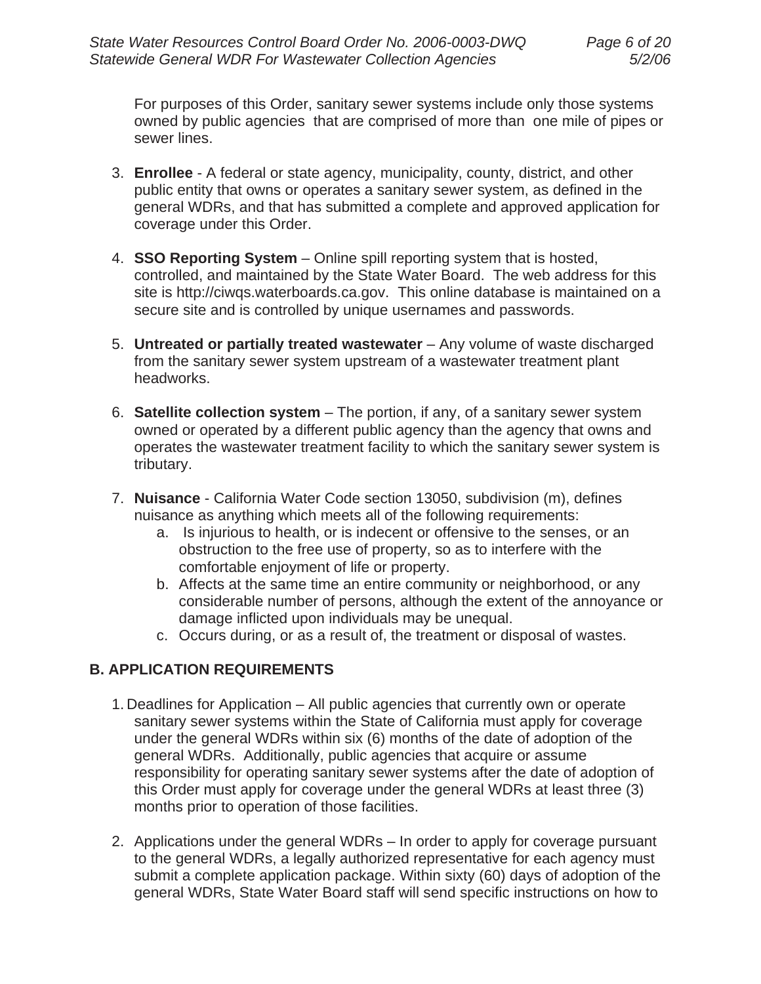For purposes of this Order, sanitary sewer systems include only those systems owned by public agencies that are comprised of more than one mile of pipes or sewer lines.

- 3. **Enrollee** A federal or state agency, municipality, county, district, and other public entity that owns or operates a sanitary sewer system, as defined in the general WDRs, and that has submitted a complete and approved application for coverage under this Order.
- 4. **SSO Reporting System** Online spill reporting system that is hosted, controlled, and maintained by the State Water Board. The web address for this site is http://ciwqs.waterboards.ca.gov. This online database is maintained on a secure site and is controlled by unique usernames and passwords.
- 5. **Untreated or partially treated wastewater** Any volume of waste discharged from the sanitary sewer system upstream of a wastewater treatment plant headworks.
- 6. **Satellite collection system**  The portion, if any, of a sanitary sewer system owned or operated by a different public agency than the agency that owns and operates the wastewater treatment facility to which the sanitary sewer system is tributary.
- 7. **Nuisance** California Water Code section 13050, subdivision (m), defines nuisance as anything which meets all of the following requirements:
	- a. Is injurious to health, or is indecent or offensive to the senses, or an obstruction to the free use of property, so as to interfere with the comfortable enjoyment of life or property.
	- b. Affects at the same time an entire community or neighborhood, or any considerable number of persons, although the extent of the annoyance or damage inflicted upon individuals may be unequal.
	- c. Occurs during, or as a result of, the treatment or disposal of wastes.

# **B. APPLICATION REQUIREMENTS**

- 1. Deadlines for Application All public agencies that currently own or operate sanitary sewer systems within the State of California must apply for coverage under the general WDRs within six (6) months of the date of adoption of the general WDRs. Additionally, public agencies that acquire or assume responsibility for operating sanitary sewer systems after the date of adoption of this Order must apply for coverage under the general WDRs at least three (3) months prior to operation of those facilities.
- 2. Applications under the general WDRs In order to apply for coverage pursuant to the general WDRs, a legally authorized representative for each agency must submit a complete application package. Within sixty (60) days of adoption of the general WDRs, State Water Board staff will send specific instructions on how to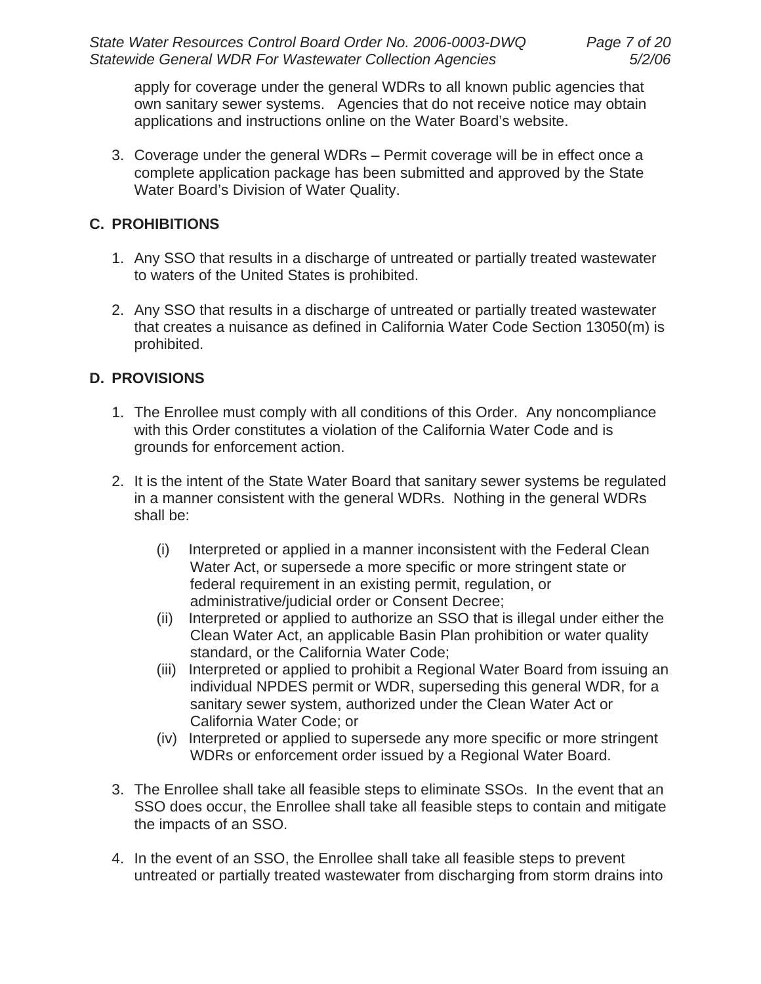apply for coverage under the general WDRs to all known public agencies that own sanitary sewer systems. Agencies that do not receive notice may obtain applications and instructions online on the Water Board's website.

3. Coverage under the general WDRs – Permit coverage will be in effect once a complete application package has been submitted and approved by the State Water Board's Division of Water Quality.

# **C. PROHIBITIONS**

- 1. Any SSO that results in a discharge of untreated or partially treated wastewater to waters of the United States is prohibited.
- 2. Any SSO that results in a discharge of untreated or partially treated wastewater that creates a nuisance as defined in California Water Code Section 13050(m) is prohibited.

## **D. PROVISIONS**

- 1. The Enrollee must comply with all conditions of this Order. Any noncompliance with this Order constitutes a violation of the California Water Code and is grounds for enforcement action.
- 2. It is the intent of the State Water Board that sanitary sewer systems be regulated in a manner consistent with the general WDRs. Nothing in the general WDRs shall be:
	- (i) Interpreted or applied in a manner inconsistent with the Federal Clean Water Act, or supersede a more specific or more stringent state or federal requirement in an existing permit, regulation, or administrative/judicial order or Consent Decree;
	- (ii) Interpreted or applied to authorize an SSO that is illegal under either the Clean Water Act, an applicable Basin Plan prohibition or water quality standard, or the California Water Code;
	- (iii) Interpreted or applied to prohibit a Regional Water Board from issuing an individual NPDES permit or WDR, superseding this general WDR, for a sanitary sewer system, authorized under the Clean Water Act or California Water Code; or
	- (iv) Interpreted or applied to supersede any more specific or more stringent WDRs or enforcement order issued by a Regional Water Board.
- 3. The Enrollee shall take all feasible steps to eliminate SSOs. In the event that an SSO does occur, the Enrollee shall take all feasible steps to contain and mitigate the impacts of an SSO.
- 4. In the event of an SSO, the Enrollee shall take all feasible steps to prevent untreated or partially treated wastewater from discharging from storm drains into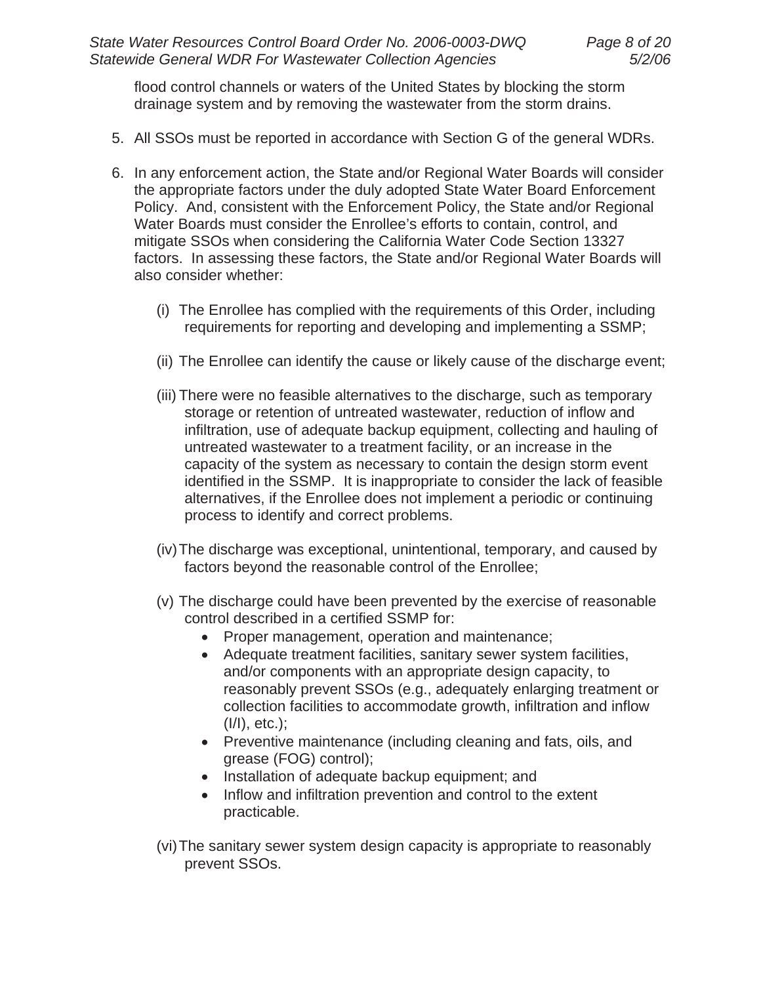flood control channels or waters of the United States by blocking the storm drainage system and by removing the wastewater from the storm drains.

- 5. All SSOs must be reported in accordance with Section G of the general WDRs.
- 6. In any enforcement action, the State and/or Regional Water Boards will consider the appropriate factors under the duly adopted State Water Board Enforcement Policy. And, consistent with the Enforcement Policy, the State and/or Regional Water Boards must consider the Enrollee's efforts to contain, control, and mitigate SSOs when considering the California Water Code Section 13327 factors. In assessing these factors, the State and/or Regional Water Boards will also consider whether:
	- (i) The Enrollee has complied with the requirements of this Order, including requirements for reporting and developing and implementing a SSMP;
	- (ii) The Enrollee can identify the cause or likely cause of the discharge event;
	- (iii) There were no feasible alternatives to the discharge, such as temporary storage or retention of untreated wastewater, reduction of inflow and infiltration, use of adequate backup equipment, collecting and hauling of untreated wastewater to a treatment facility, or an increase in the capacity of the system as necessary to contain the design storm event identified in the SSMP. It is inappropriate to consider the lack of feasible alternatives, if the Enrollee does not implement a periodic or continuing process to identify and correct problems.
	- (iv) The discharge was exceptional, unintentional, temporary, and caused by factors beyond the reasonable control of the Enrollee;
	- (v) The discharge could have been prevented by the exercise of reasonable control described in a certified SSMP for:
		- Proper management, operation and maintenance;
		- Adequate treatment facilities, sanitary sewer system facilities, and/or components with an appropriate design capacity, to reasonably prevent SSOs (e.g., adequately enlarging treatment or collection facilities to accommodate growth, infiltration and inflow (I/I), etc.);
		- Preventive maintenance (including cleaning and fats, oils, and grease (FOG) control);
		- Installation of adequate backup equipment; and
		- Inflow and infiltration prevention and control to the extent practicable.
	- (vi) The sanitary sewer system design capacity is appropriate to reasonably prevent SSOs.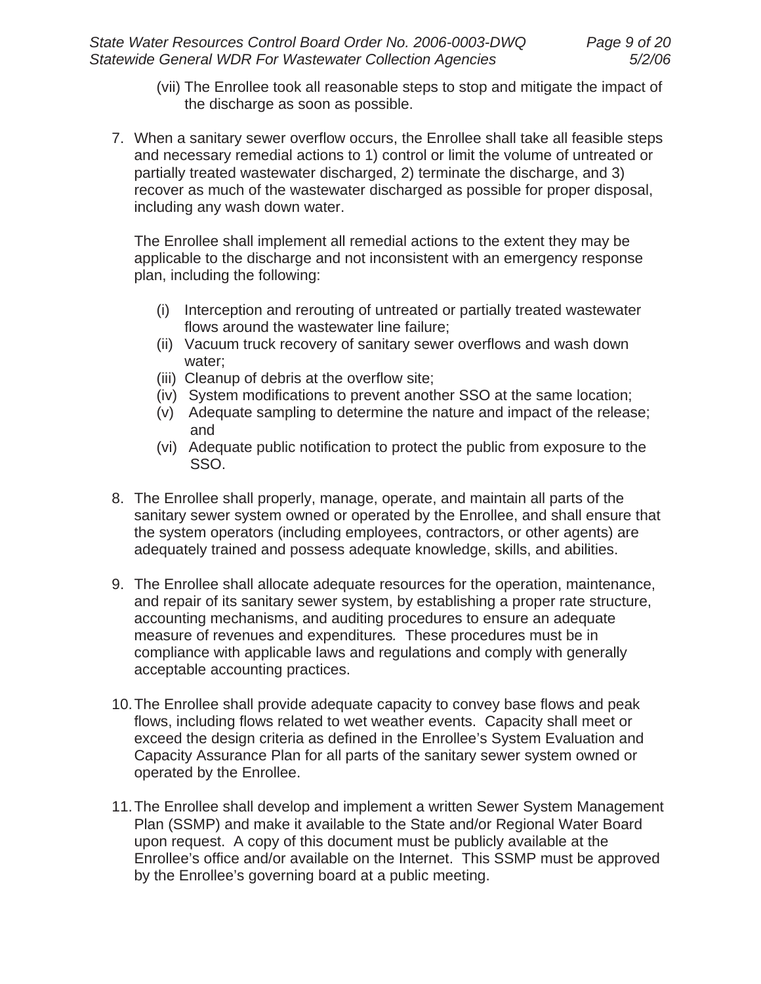- (vii) The Enrollee took all reasonable steps to stop and mitigate the impact of the discharge as soon as possible.
- 7. When a sanitary sewer overflow occurs, the Enrollee shall take all feasible steps and necessary remedial actions to 1) control or limit the volume of untreated or partially treated wastewater discharged, 2) terminate the discharge, and 3) recover as much of the wastewater discharged as possible for proper disposal, including any wash down water.

The Enrollee shall implement all remedial actions to the extent they may be applicable to the discharge and not inconsistent with an emergency response plan, including the following:

- (i) Interception and rerouting of untreated or partially treated wastewater flows around the wastewater line failure;
- (ii) Vacuum truck recovery of sanitary sewer overflows and wash down water;
- (iii) Cleanup of debris at the overflow site;
- (iv) System modifications to prevent another SSO at the same location;
- (v) Adequate sampling to determine the nature and impact of the release; and
- (vi) Adequate public notification to protect the public from exposure to the SSO.
- 8. The Enrollee shall properly, manage, operate, and maintain all parts of the sanitary sewer system owned or operated by the Enrollee, and shall ensure that the system operators (including employees, contractors, or other agents) are adequately trained and possess adequate knowledge, skills, and abilities.
- 9. The Enrollee shall allocate adequate resources for the operation, maintenance, and repair of its sanitary sewer system, by establishing a proper rate structure, accounting mechanisms, and auditing procedures to ensure an adequate measure of revenues and expenditures*.* These procedures must be in compliance with applicable laws and regulations and comply with generally acceptable accounting practices.
- 10. The Enrollee shall provide adequate capacity to convey base flows and peak flows, including flows related to wet weather events. Capacity shall meet or exceed the design criteria as defined in the Enrollee's System Evaluation and Capacity Assurance Plan for all parts of the sanitary sewer system owned or operated by the Enrollee.
- 11. The Enrollee shall develop and implement a written Sewer System Management Plan (SSMP) and make it available to the State and/or Regional Water Board upon request. A copy of this document must be publicly available at the Enrollee's office and/or available on the Internet. This SSMP must be approved by the Enrollee's governing board at a public meeting.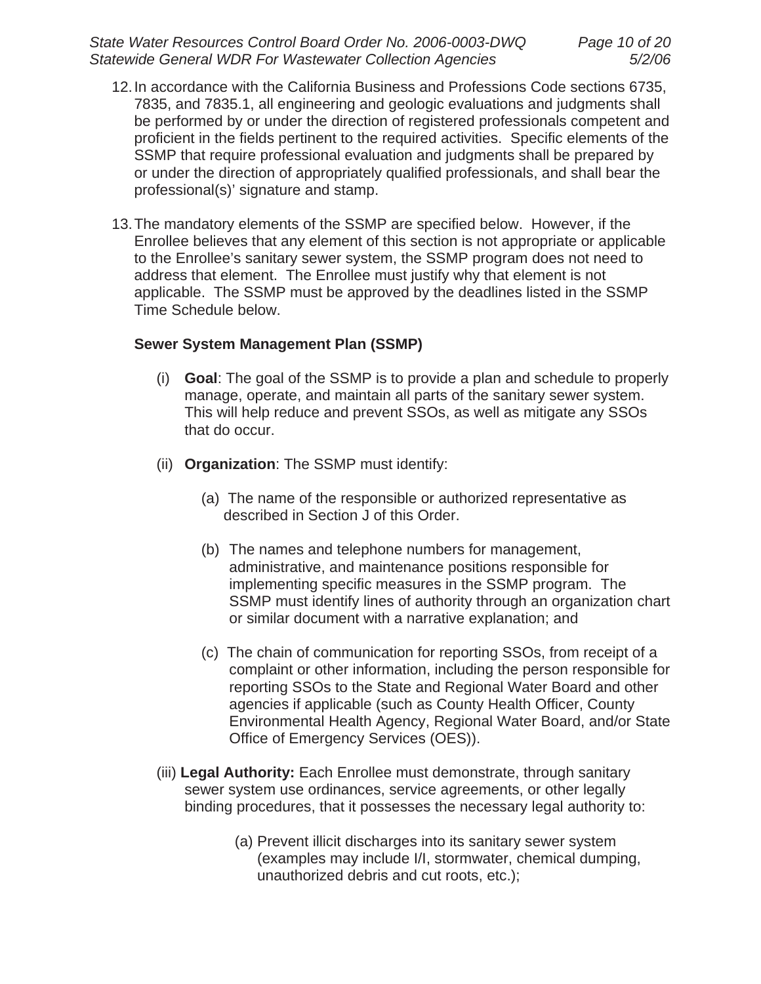*State Water Resources Control Board Order No. 2006-0003-DWQ Page 10 of 20 Statewide General WDR For Wastewater Collection Agencies 5/2/06*

- 12. In accordance with the California Business and Professions Code sections 6735, 7835, and 7835.1, all engineering and geologic evaluations and judgments shall be performed by or under the direction of registered professionals competent and proficient in the fields pertinent to the required activities. Specific elements of the SSMP that require professional evaluation and judgments shall be prepared by or under the direction of appropriately qualified professionals, and shall bear the professional(s)' signature and stamp.
- 13. The mandatory elements of the SSMP are specified below. However, if the Enrollee believes that any element of this section is not appropriate or applicable to the Enrollee's sanitary sewer system, the SSMP program does not need to address that element. The Enrollee must justify why that element is not applicable. The SSMP must be approved by the deadlines listed in the SSMP Time Schedule below.

#### **Sewer System Management Plan (SSMP)**

- (i) **Goal**: The goal of the SSMP is to provide a plan and schedule to properly manage, operate, and maintain all parts of the sanitary sewer system. This will help reduce and prevent SSOs, as well as mitigate any SSOs that do occur.
- (ii) **Organization**: The SSMP must identify:
	- (a) The name of the responsible or authorized representative as described in Section J of this Order.
	- (b) The names and telephone numbers for management, administrative, and maintenance positions responsible for implementing specific measures in the SSMP program. The SSMP must identify lines of authority through an organization chart or similar document with a narrative explanation; and
	- (c) The chain of communication for reporting SSOs, from receipt of a complaint or other information, including the person responsible for reporting SSOs to the State and Regional Water Board and other agencies if applicable (such as County Health Officer, County Environmental Health Agency, Regional Water Board, and/or State Office of Emergency Services (OES)).
- (iii) **Legal Authority:** Each Enrollee must demonstrate, through sanitary sewer system use ordinances, service agreements, or other legally binding procedures, that it possesses the necessary legal authority to:
	- (a) Prevent illicit discharges into its sanitary sewer system (examples may include I/I, stormwater, chemical dumping, unauthorized debris and cut roots, etc.);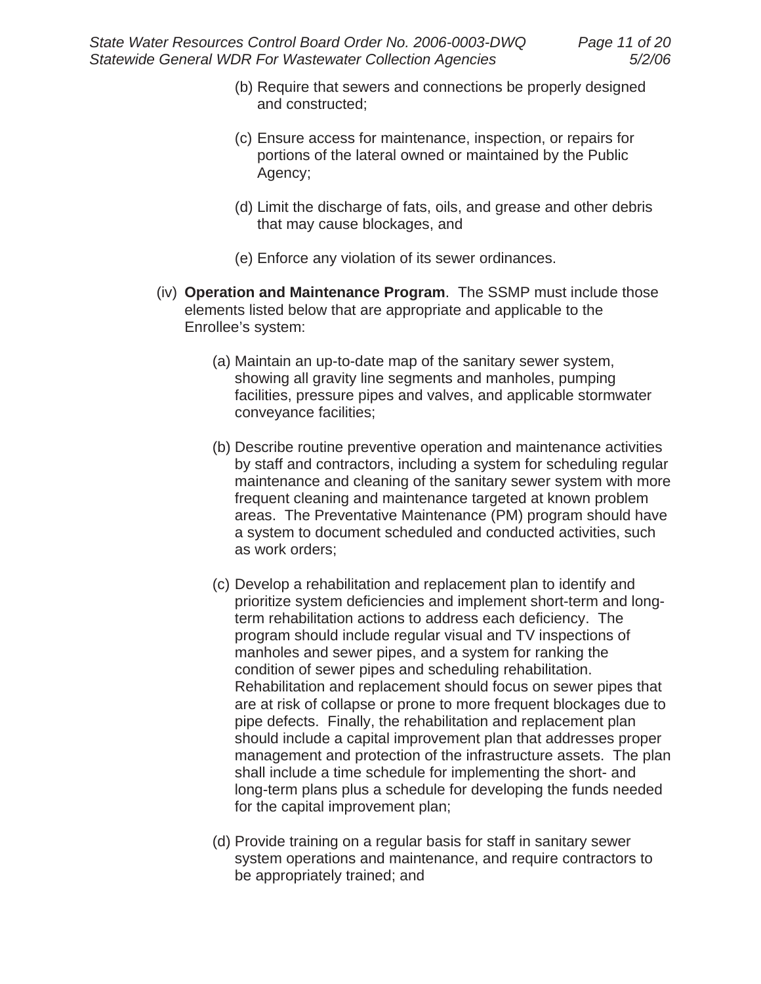- (b) Require that sewers and connections be properly designed and constructed;
- (c) Ensure access for maintenance, inspection, or repairs for portions of the lateral owned or maintained by the Public Agency;
- (d) Limit the discharge of fats, oils, and grease and other debris that may cause blockages, and
- (e) Enforce any violation of its sewer ordinances.
- (iv) **Operation and Maintenance Program**. The SSMP must include those elements listed below that are appropriate and applicable to the Enrollee's system:
	- (a) Maintain an up-to-date map of the sanitary sewer system, showing all gravity line segments and manholes, pumping facilities, pressure pipes and valves, and applicable stormwater conveyance facilities;
	- (b) Describe routine preventive operation and maintenance activities by staff and contractors, including a system for scheduling regular maintenance and cleaning of the sanitary sewer system with more frequent cleaning and maintenance targeted at known problem areas. The Preventative Maintenance (PM) program should have a system to document scheduled and conducted activities, such as work orders;
	- (c) Develop a rehabilitation and replacement plan to identify and prioritize system deficiencies and implement short-term and longterm rehabilitation actions to address each deficiency. The program should include regular visual and TV inspections of manholes and sewer pipes, and a system for ranking the condition of sewer pipes and scheduling rehabilitation. Rehabilitation and replacement should focus on sewer pipes that are at risk of collapse or prone to more frequent blockages due to pipe defects. Finally, the rehabilitation and replacement plan should include a capital improvement plan that addresses proper management and protection of the infrastructure assets. The plan shall include a time schedule for implementing the short- and long-term plans plus a schedule for developing the funds needed for the capital improvement plan;
	- (d) Provide training on a regular basis for staff in sanitary sewer system operations and maintenance, and require contractors to be appropriately trained; and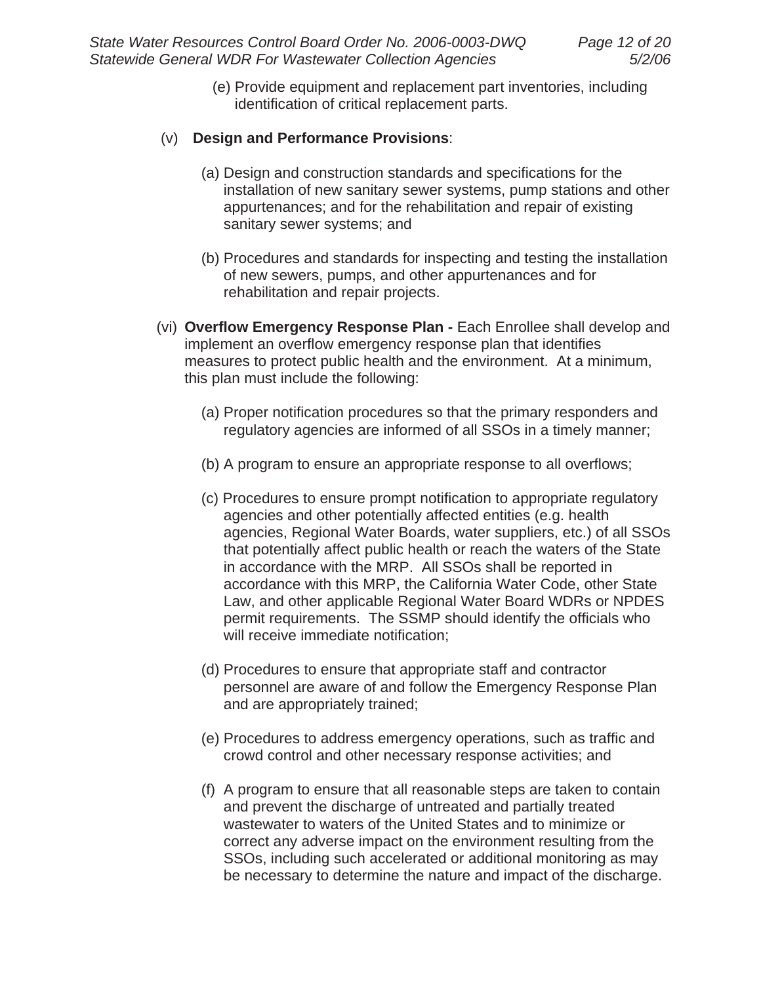(e) Provide equipment and replacement part inventories, including identification of critical replacement parts.

## (v) **Design and Performance Provisions**:

- (a) Design and construction standards and specifications for the installation of new sanitary sewer systems, pump stations and other appurtenances; and for the rehabilitation and repair of existing sanitary sewer systems; and
- (b) Procedures and standards for inspecting and testing the installation of new sewers, pumps, and other appurtenances and for rehabilitation and repair projects.
- (vi) **Overflow Emergency Response Plan -** Each Enrollee shall develop and implement an overflow emergency response plan that identifies measures to protect public health and the environment. At a minimum, this plan must include the following:
	- (a) Proper notification procedures so that the primary responders and regulatory agencies are informed of all SSOs in a timely manner;
	- (b) A program to ensure an appropriate response to all overflows;
	- (c) Procedures to ensure prompt notification to appropriate regulatory agencies and other potentially affected entities (e.g. health agencies, Regional Water Boards, water suppliers, etc.) of all SSOs that potentially affect public health or reach the waters of the State in accordance with the MRP. All SSOs shall be reported in accordance with this MRP, the California Water Code, other State Law, and other applicable Regional Water Board WDRs or NPDES permit requirements. The SSMP should identify the officials who will receive immediate notification;
	- (d) Procedures to ensure that appropriate staff and contractor personnel are aware of and follow the Emergency Response Plan and are appropriately trained;
	- (e) Procedures to address emergency operations, such as traffic and crowd control and other necessary response activities; and
	- (f) A program to ensure that all reasonable steps are taken to contain and prevent the discharge of untreated and partially treated wastewater to waters of the United States and to minimize or correct any adverse impact on the environment resulting from the SSOs, including such accelerated or additional monitoring as may be necessary to determine the nature and impact of the discharge.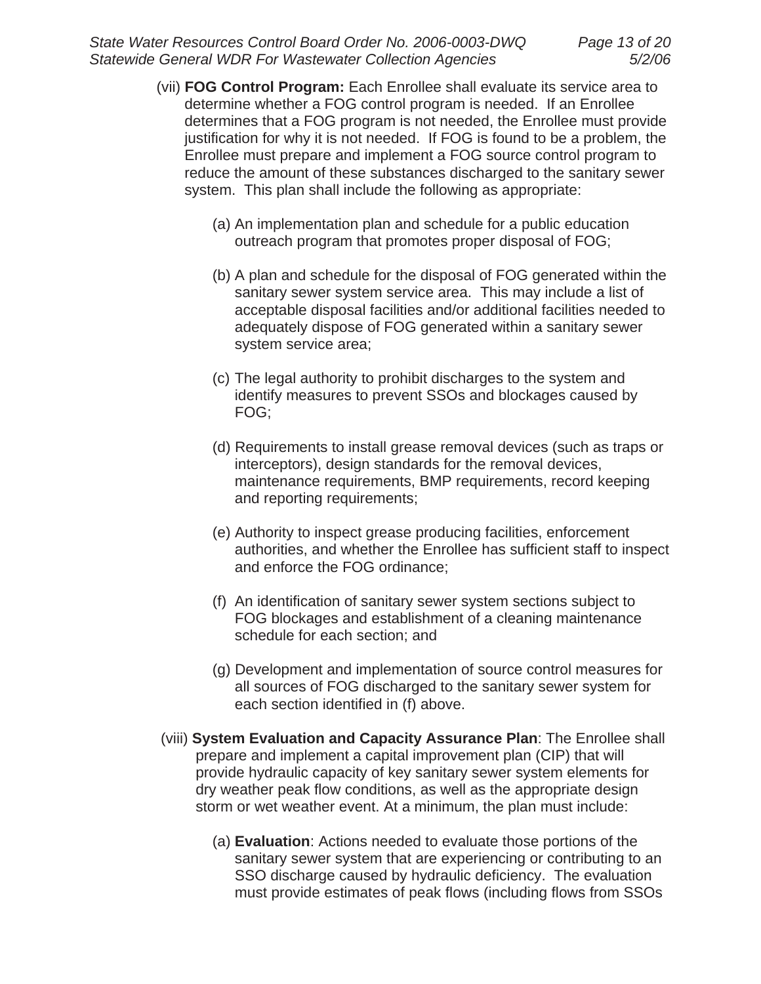- (vii) **FOG Control Program:** Each Enrollee shall evaluate its service area to determine whether a FOG control program is needed. If an Enrollee determines that a FOG program is not needed, the Enrollee must provide justification for why it is not needed. If FOG is found to be a problem, the Enrollee must prepare and implement a FOG source control program to reduce the amount of these substances discharged to the sanitary sewer system. This plan shall include the following as appropriate:
	- (a) An implementation plan and schedule for a public education outreach program that promotes proper disposal of FOG;
	- (b) A plan and schedule for the disposal of FOG generated within the sanitary sewer system service area. This may include a list of acceptable disposal facilities and/or additional facilities needed to adequately dispose of FOG generated within a sanitary sewer system service area;
	- (c) The legal authority to prohibit discharges to the system and identify measures to prevent SSOs and blockages caused by FOG;
	- (d) Requirements to install grease removal devices (such as traps or interceptors), design standards for the removal devices, maintenance requirements, BMP requirements, record keeping and reporting requirements;
	- (e) Authority to inspect grease producing facilities, enforcement authorities, and whether the Enrollee has sufficient staff to inspect and enforce the FOG ordinance;
	- (f) An identification of sanitary sewer system sections subject to FOG blockages and establishment of a cleaning maintenance schedule for each section; and
	- (g) Development and implementation of source control measures for all sources of FOG discharged to the sanitary sewer system for each section identified in (f) above.
- (viii) **System Evaluation and Capacity Assurance Plan**: The Enrollee shall prepare and implement a capital improvement plan (CIP) that will provide hydraulic capacity of key sanitary sewer system elements for dry weather peak flow conditions, as well as the appropriate design storm or wet weather event. At a minimum, the plan must include:
	- (a) **Evaluation**: Actions needed to evaluate those portions of the sanitary sewer system that are experiencing or contributing to an SSO discharge caused by hydraulic deficiency. The evaluation must provide estimates of peak flows (including flows from SSOs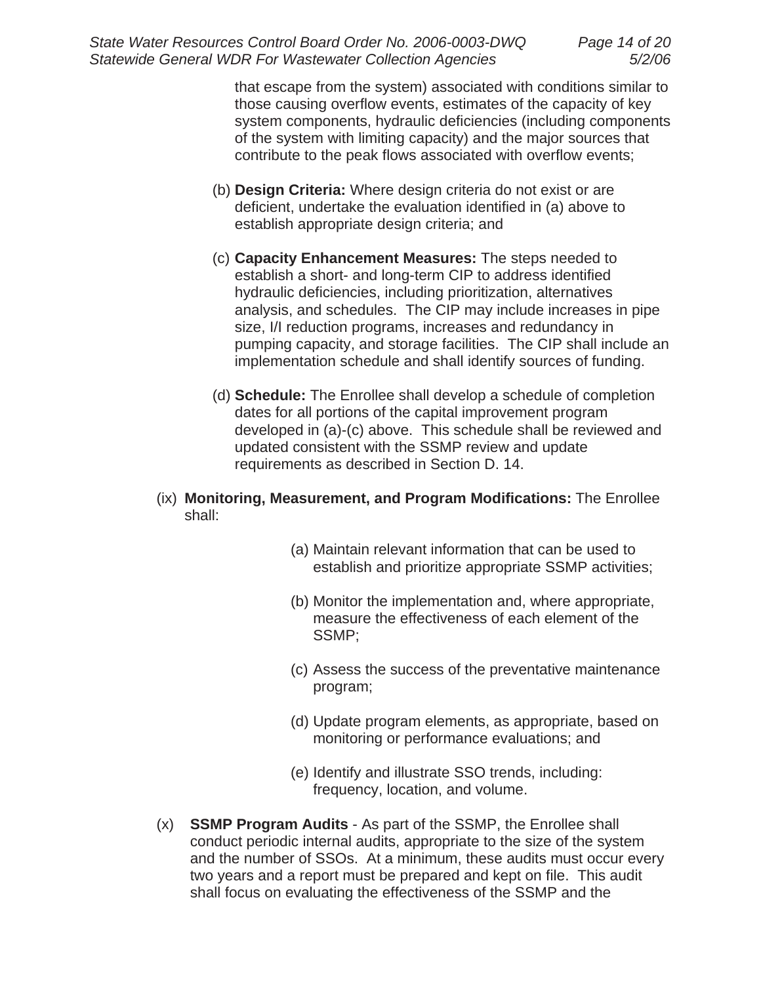that escape from the system) associated with conditions similar to those causing overflow events, estimates of the capacity of key system components, hydraulic deficiencies (including components of the system with limiting capacity) and the major sources that contribute to the peak flows associated with overflow events;

- (b) **Design Criteria:** Where design criteria do not exist or are deficient, undertake the evaluation identified in (a) above to establish appropriate design criteria; and
- (c) **Capacity Enhancement Measures:** The steps needed to establish a short- and long-term CIP to address identified hydraulic deficiencies, including prioritization, alternatives analysis, and schedules. The CIP may include increases in pipe size, I/I reduction programs, increases and redundancy in pumping capacity, and storage facilities. The CIP shall include an implementation schedule and shall identify sources of funding.
- (d) **Schedule:** The Enrollee shall develop a schedule of completion dates for all portions of the capital improvement program developed in (a)-(c) above. This schedule shall be reviewed and updated consistent with the SSMP review and update requirements as described in Section D. 14.
- (ix) **Monitoring, Measurement, and Program Modifications:** The Enrollee shall:
	- (a) Maintain relevant information that can be used to establish and prioritize appropriate SSMP activities;
	- (b) Monitor the implementation and, where appropriate, measure the effectiveness of each element of the SSMP;
	- (c) Assess the success of the preventative maintenance program;
	- (d) Update program elements, as appropriate, based on monitoring or performance evaluations; and
	- (e) Identify and illustrate SSO trends, including: frequency, location, and volume.
- (x) **SSMP Program Audits** As part of the SSMP, the Enrollee shall conduct periodic internal audits, appropriate to the size of the system and the number of SSOs. At a minimum, these audits must occur every two years and a report must be prepared and kept on file. This audit shall focus on evaluating the effectiveness of the SSMP and the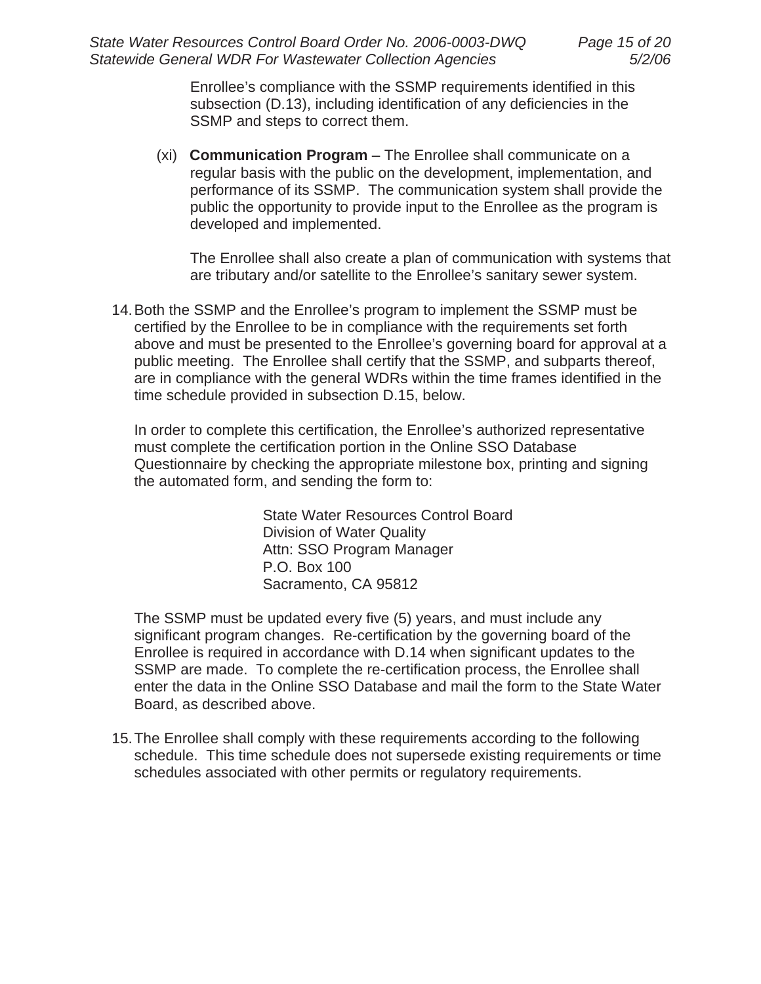Enrollee's compliance with the SSMP requirements identified in this subsection (D.13), including identification of any deficiencies in the SSMP and steps to correct them.

(xi) **Communication Program** – The Enrollee shall communicate on a regular basis with the public on the development, implementation, and performance of its SSMP. The communication system shall provide the public the opportunity to provide input to the Enrollee as the program is developed and implemented.

The Enrollee shall also create a plan of communication with systems that are tributary and/or satellite to the Enrollee's sanitary sewer system.

14. Both the SSMP and the Enrollee's program to implement the SSMP must be certified by the Enrollee to be in compliance with the requirements set forth above and must be presented to the Enrollee's governing board for approval at a public meeting. The Enrollee shall certify that the SSMP, and subparts thereof, are in compliance with the general WDRs within the time frames identified in the time schedule provided in subsection D.15, below.

In order to complete this certification, the Enrollee's authorized representative must complete the certification portion in the Online SSO Database Questionnaire by checking the appropriate milestone box, printing and signing the automated form, and sending the form to:

> State Water Resources Control Board Division of Water Quality Attn: SSO Program Manager P.O. Box 100 Sacramento, CA 95812

The SSMP must be updated every five (5) years, and must include any significant program changes. Re-certification by the governing board of the Enrollee is required in accordance with D.14 when significant updates to the SSMP are made. To complete the re-certification process, the Enrollee shall enter the data in the Online SSO Database and mail the form to the State Water Board, as described above.

15. The Enrollee shall comply with these requirements according to the following schedule. This time schedule does not supersede existing requirements or time schedules associated with other permits or regulatory requirements.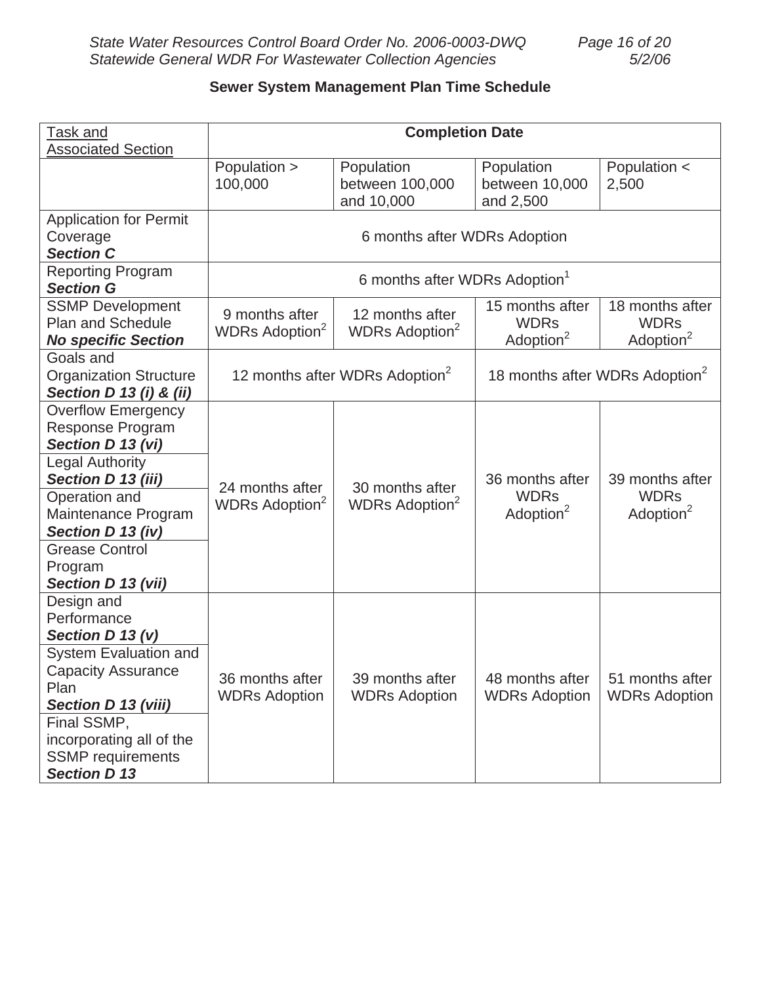# **Sewer System Management Plan Time Schedule**

| <b>Task and</b><br><b>Associated Section</b>                                                                                                      | <b>Completion Date</b>                              |                                               |                                                         |                                                         |
|---------------------------------------------------------------------------------------------------------------------------------------------------|-----------------------------------------------------|-----------------------------------------------|---------------------------------------------------------|---------------------------------------------------------|
|                                                                                                                                                   | Population ><br>100,000                             | Population<br>between 100,000<br>and 10,000   | Population<br>between 10,000<br>and 2,500               | Population <<br>2,500                                   |
| <b>Application for Permit</b><br>Coverage<br><b>Section C</b>                                                                                     | 6 months after WDRs Adoption                        |                                               |                                                         |                                                         |
| <b>Reporting Program</b><br><b>Section G</b>                                                                                                      | 6 months after WDRs Adoption <sup>1</sup>           |                                               |                                                         |                                                         |
| <b>SSMP Development</b><br><b>Plan and Schedule</b><br><b>No specific Section</b>                                                                 | 9 months after<br>WDRs Adoption <sup>2</sup>        | 12 months after<br>WDRs Adoption <sup>2</sup> | 15 months after<br><b>WDRs</b><br>Adoption <sup>2</sup> | 18 months after<br><b>WDRs</b><br>Adoption <sup>2</sup> |
| Goals and<br><b>Organization Structure</b><br>Section D 13 (i) & (ii)                                                                             | 12 months after WDRs Adoption <sup>2</sup>          |                                               | 18 months after WDRs Adoption <sup>2</sup>              |                                                         |
| <b>Overflow Emergency</b><br><b>Response Program</b><br>Section D 13 (vi)                                                                         |                                                     |                                               |                                                         |                                                         |
| <b>Legal Authority</b><br>Section D 13 (iii)                                                                                                      | 24 months after<br><b>WDRs Adoption<sup>2</sup></b> | 30 months after<br>WDRs Adoption <sup>2</sup> | 36 months after<br><b>WDRs</b><br>Adoption <sup>2</sup> | 39 months after<br><b>WDRs</b><br>Adoption <sup>2</sup> |
| Operation and<br>Maintenance Program<br>Section D 13 (iv)                                                                                         |                                                     |                                               |                                                         |                                                         |
| <b>Grease Control</b><br>Program<br>Section D 13 (vii)                                                                                            |                                                     |                                               |                                                         |                                                         |
| Design and<br>Performance<br>Section D 13 (v)<br>System Evaluation and<br><b>Capacity Assurance</b><br>Plan<br>Section D 13 (viii)<br>Final SSMP, | 36 months after<br><b>WDRs Adoption</b>             | 39 months after<br><b>WDRs Adoption</b>       | 48 months after<br><b>WDRs Adoption</b>                 | 51 months after<br><b>WDRs Adoption</b>                 |
| incorporating all of the<br><b>SSMP</b> requirements<br><b>Section D 13</b>                                                                       |                                                     |                                               |                                                         |                                                         |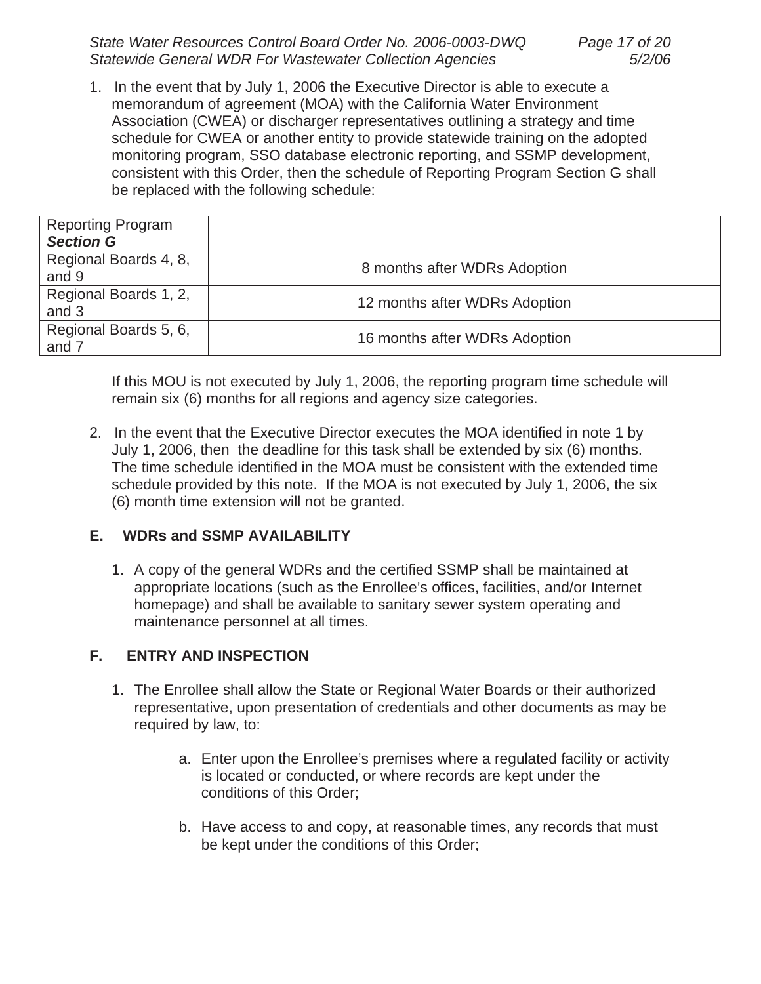*State Water Resources Control Board Order No. 2006-0003-DWQ Page 17 of 20 Statewide General WDR For Wastewater Collection Agencies 5/2/06*

1. In the event that by July 1, 2006 the Executive Director is able to execute a memorandum of agreement (MOA) with the California Water Environment Association (CWEA) or discharger representatives outlining a strategy and time schedule for CWEA or another entity to provide statewide training on the adopted monitoring program, SSO database electronic reporting, and SSMP development, consistent with this Order, then the schedule of Reporting Program Section G shall be replaced with the following schedule:

| <b>Reporting Program</b><br><b>Section G</b> |                               |
|----------------------------------------------|-------------------------------|
| Regional Boards 4, 8,<br>and 9               | 8 months after WDRs Adoption  |
| Regional Boards 1, 2,<br>and 3               | 12 months after WDRs Adoption |
| Regional Boards 5, 6,<br>and 7               | 16 months after WDRs Adoption |

If this MOU is not executed by July 1, 2006, the reporting program time schedule will remain six (6) months for all regions and agency size categories.

2. In the event that the Executive Director executes the MOA identified in note 1 by July 1, 2006, then the deadline for this task shall be extended by six (6) months. The time schedule identified in the MOA must be consistent with the extended time schedule provided by this note. If the MOA is not executed by July 1, 2006, the six (6) month time extension will not be granted.

# **E. WDRs and SSMP AVAILABILITY**

1. A copy of the general WDRs and the certified SSMP shall be maintained at appropriate locations (such as the Enrollee's offices, facilities, and/or Internet homepage) and shall be available to sanitary sewer system operating and maintenance personnel at all times.

# **F. ENTRY AND INSPECTION**

- 1. The Enrollee shall allow the State or Regional Water Boards or their authorized representative, upon presentation of credentials and other documents as may be required by law, to:
	- a. Enter upon the Enrollee's premises where a regulated facility or activity is located or conducted, or where records are kept under the conditions of this Order;
	- b. Have access to and copy, at reasonable times, any records that must be kept under the conditions of this Order;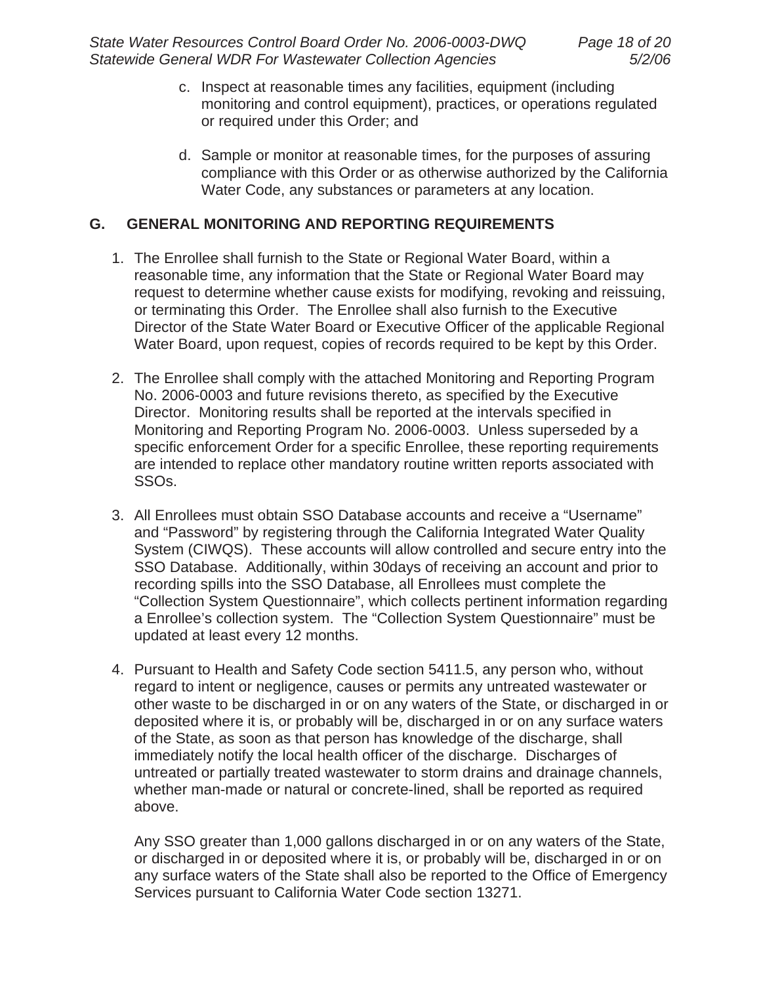- c. Inspect at reasonable times any facilities, equipment (including monitoring and control equipment), practices, or operations regulated or required under this Order; and
- d. Sample or monitor at reasonable times, for the purposes of assuring compliance with this Order or as otherwise authorized by the California Water Code, any substances or parameters at any location.

## **G. GENERAL MONITORING AND REPORTING REQUIREMENTS**

- 1. The Enrollee shall furnish to the State or Regional Water Board, within a reasonable time, any information that the State or Regional Water Board may request to determine whether cause exists for modifying, revoking and reissuing, or terminating this Order. The Enrollee shall also furnish to the Executive Director of the State Water Board or Executive Officer of the applicable Regional Water Board, upon request, copies of records required to be kept by this Order.
- 2. The Enrollee shall comply with the attached Monitoring and Reporting Program No. 2006-0003 and future revisions thereto, as specified by the Executive Director. Monitoring results shall be reported at the intervals specified in Monitoring and Reporting Program No. 2006-0003. Unless superseded by a specific enforcement Order for a specific Enrollee, these reporting requirements are intended to replace other mandatory routine written reports associated with SSOs.
- 3. All Enrollees must obtain SSO Database accounts and receive a "Username" and "Password" by registering through the California Integrated Water Quality System (CIWQS). These accounts will allow controlled and secure entry into the SSO Database. Additionally, within 30days of receiving an account and prior to recording spills into the SSO Database, all Enrollees must complete the "Collection System Questionnaire", which collects pertinent information regarding a Enrollee's collection system. The "Collection System Questionnaire" must be updated at least every 12 months.
- 4. Pursuant to Health and Safety Code section 5411.5, any person who, without regard to intent or negligence, causes or permits any untreated wastewater or other waste to be discharged in or on any waters of the State, or discharged in or deposited where it is, or probably will be, discharged in or on any surface waters of the State, as soon as that person has knowledge of the discharge, shall immediately notify the local health officer of the discharge. Discharges of untreated or partially treated wastewater to storm drains and drainage channels, whether man-made or natural or concrete-lined, shall be reported as required above.

Any SSO greater than 1,000 gallons discharged in or on any waters of the State, or discharged in or deposited where it is, or probably will be, discharged in or on any surface waters of the State shall also be reported to the Office of Emergency Services pursuant to California Water Code section 13271.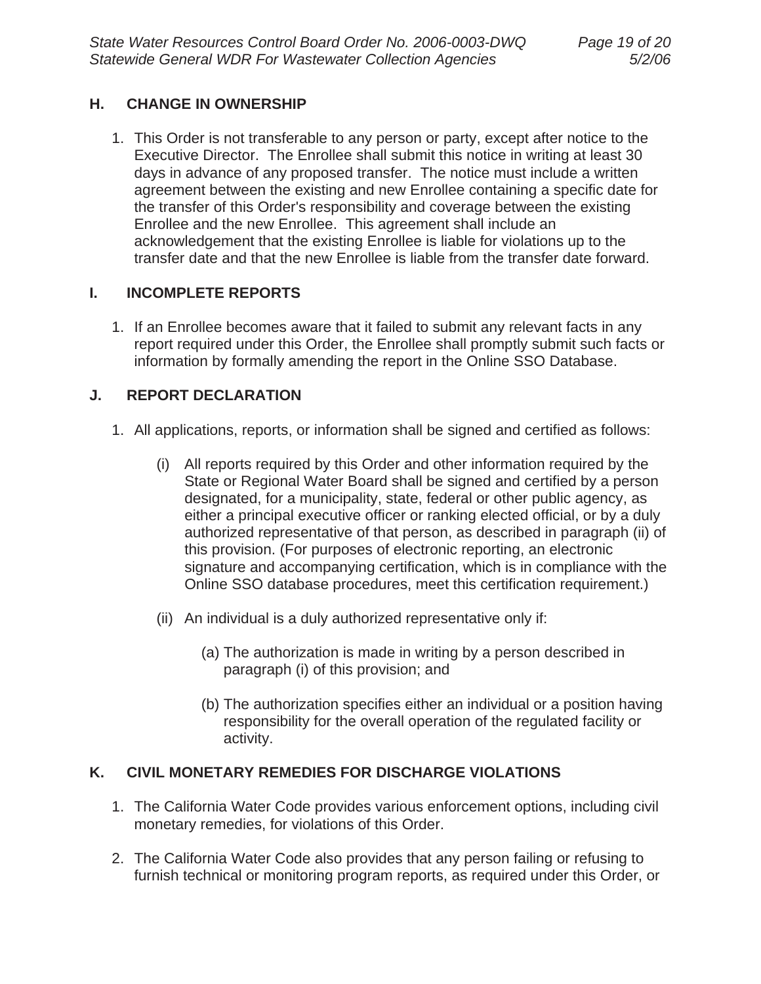## **H. CHANGE IN OWNERSHIP**

1. This Order is not transferable to any person or party, except after notice to the Executive Director. The Enrollee shall submit this notice in writing at least 30 days in advance of any proposed transfer. The notice must include a written agreement between the existing and new Enrollee containing a specific date for the transfer of this Order's responsibility and coverage between the existing Enrollee and the new Enrollee. This agreement shall include an acknowledgement that the existing Enrollee is liable for violations up to the transfer date and that the new Enrollee is liable from the transfer date forward.

## **I. INCOMPLETE REPORTS**

1. If an Enrollee becomes aware that it failed to submit any relevant facts in any report required under this Order, the Enrollee shall promptly submit such facts or information by formally amending the report in the Online SSO Database.

# **J. REPORT DECLARATION**

- 1. All applications, reports, or information shall be signed and certified as follows:
	- (i) All reports required by this Order and other information required by the State or Regional Water Board shall be signed and certified by a person designated, for a municipality, state, federal or other public agency, as either a principal executive officer or ranking elected official, or by a duly authorized representative of that person, as described in paragraph (ii) of this provision. (For purposes of electronic reporting, an electronic signature and accompanying certification, which is in compliance with the Online SSO database procedures, meet this certification requirement.)
	- (ii) An individual is a duly authorized representative only if:
		- (a) The authorization is made in writing by a person described in paragraph (i) of this provision; and
		- (b) The authorization specifies either an individual or a position having responsibility for the overall operation of the regulated facility or activity.

# **K. CIVIL MONETARY REMEDIES FOR DISCHARGE VIOLATIONS**

- 1. The California Water Code provides various enforcement options, including civil monetary remedies, for violations of this Order.
- 2. The California Water Code also provides that any person failing or refusing to furnish technical or monitoring program reports, as required under this Order, or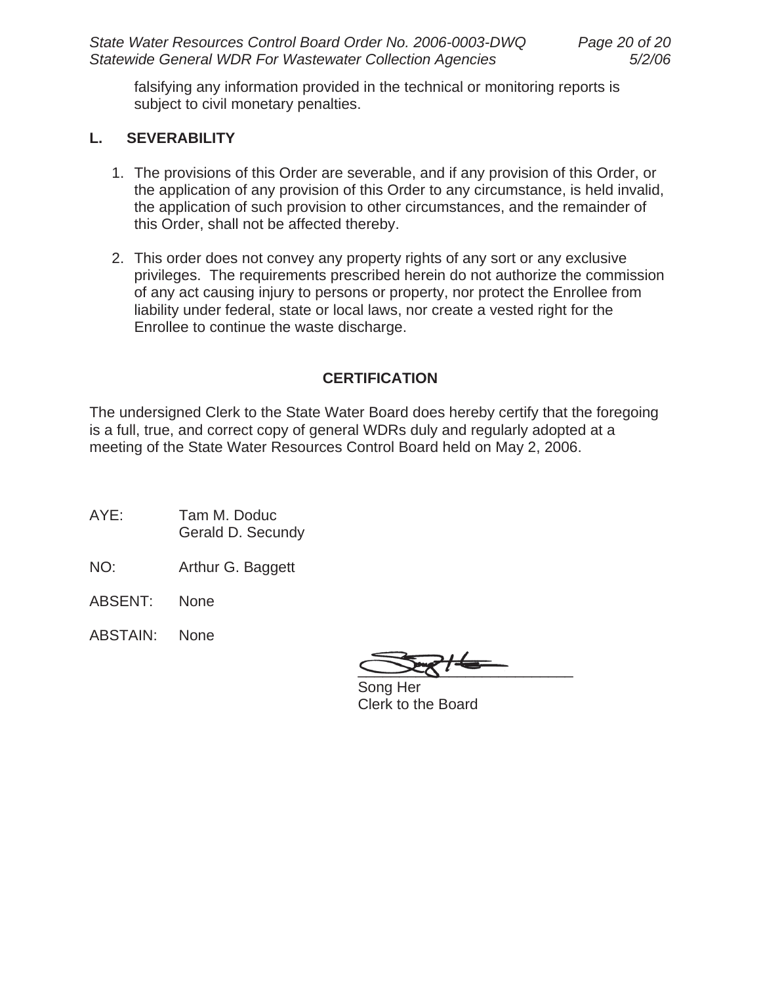falsifying any information provided in the technical or monitoring reports is subject to civil monetary penalties.

#### **L. SEVERABILITY**

- 1. The provisions of this Order are severable, and if any provision of this Order, or the application of any provision of this Order to any circumstance, is held invalid, the application of such provision to other circumstances, and the remainder of this Order, shall not be affected thereby.
- 2. This order does not convey any property rights of any sort or any exclusive privileges. The requirements prescribed herein do not authorize the commission of any act causing injury to persons or property, nor protect the Enrollee from liability under federal, state or local laws, nor create a vested right for the Enrollee to continue the waste discharge.

# **CERTIFICATION**

The undersigned Clerk to the State Water Board does hereby certify that the foregoing is a full, true, and correct copy of general WDRs duly and regularly adopted at a meeting of the State Water Resources Control Board held on May 2, 2006.

- AYE: Tam M. Doduc Gerald D. Secundy
- NO: Arthur G. Baggett
- ABSENT: None
- ABSTAIN: None

 $\frac{1}{\sqrt{2}}$ 

 Song Her Clerk to the Board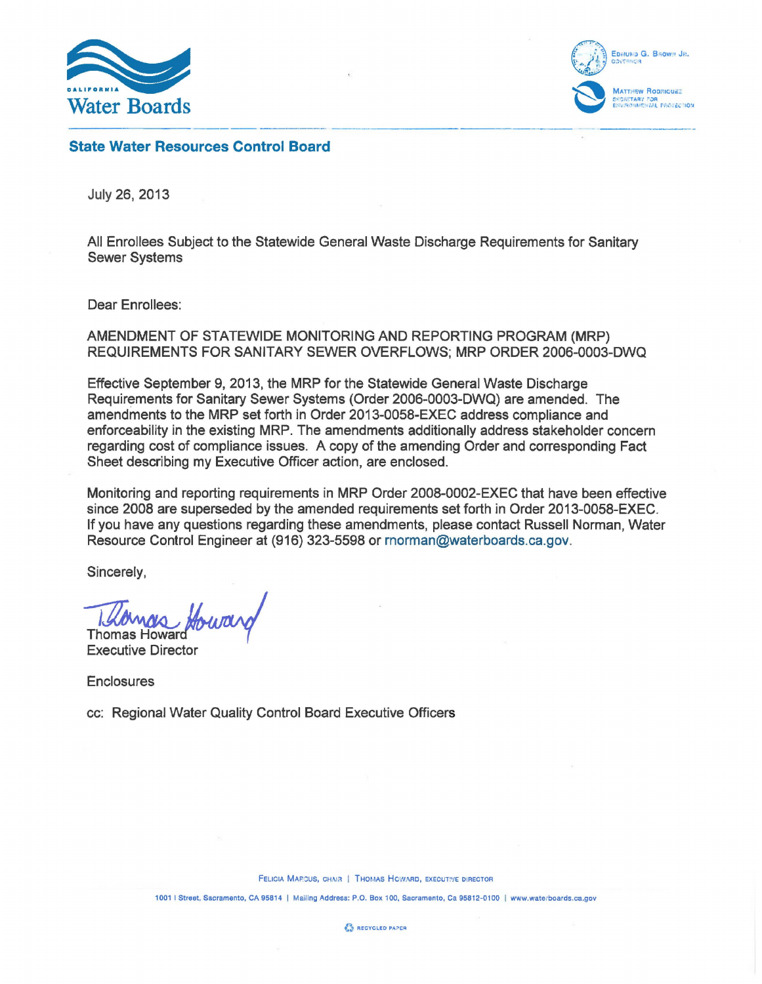



-------- - ----------- --- State Water Resources Control Board

July 26, 2013

All Enrollees Subject to the Statewide General Waste Discharge Requirements for Sanitary Sewer Systems

Dear Enrollees:

AMENDMENT OF STATEWIDE MONITORING AND REPORTING PROGRAM (MRP) REQUIREMENTS FOR SANITARY SEWER OVERFLOWS; MRP ORDER 2006-0003-DWQ

Effective September 9, 2013, the MRP for the Statewide General Waste Discharge Requirements for Sanitary Sewer Systems (Order 2006-0003-DWQ) are amended. The amendments to the MRP set forth in Order 2013-0058-EXEC address compliance and enforceability in the existing MRP. The amendments additionally address stakeholder concern regarding cost of compliance issues. A copy of the amending Order and corresponding Fact Sheet describing my Executive Officer action, are enclosed.

Monitoring and reporting requirements in MRP Order 2008-0002-EXEC that have been effective since 2008 are superseded by the amended requirements set forth in Order 2013-0058-EXEC. If you have any questions regarding these amendments, please contact Russell Norman, Water Resource Control Engineer at (916) 323-5598 or rnorman@waterboards.ca.gov.

Sincerely,

Howard

Executive Director

**Enclosures** 

cc: Regional Water Quality Control Board Executive Officers

FELICIA MARCUS, CHAIR | THOMAS HOWARD, EXECUTIVE DIRECTOR

1001 I Street, Sacramento, CA 95814 I Mailing Address: P.O. Box 100, Sacramento, Ca 95812-0100 I www.waterboards.ca.gov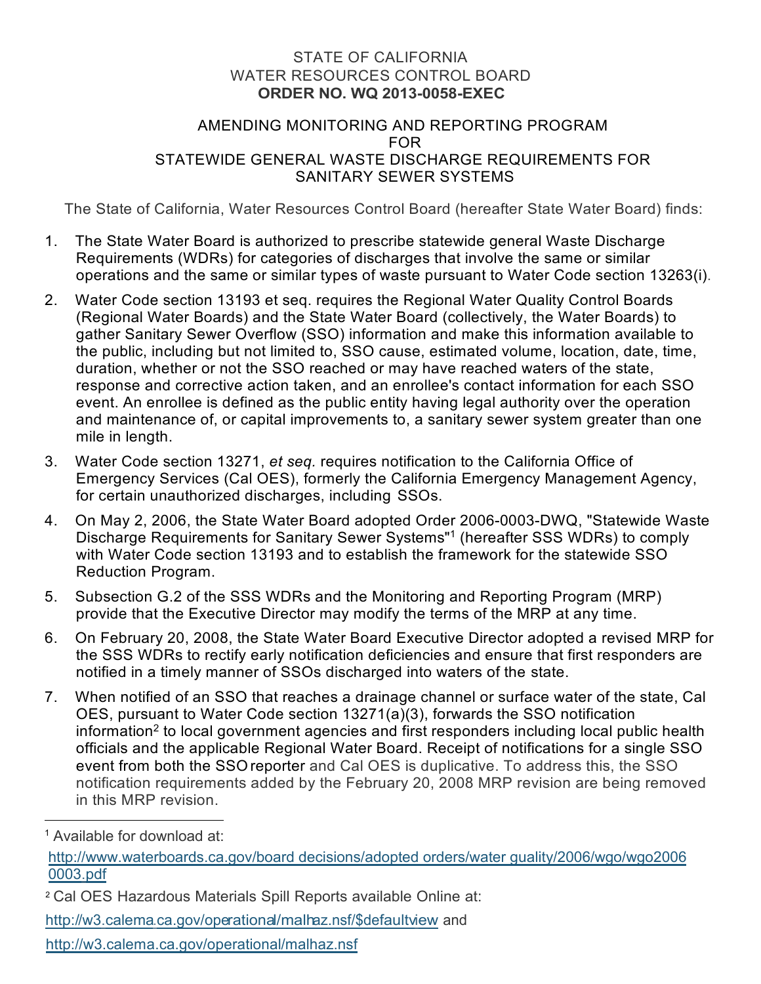#### STATE OF CALIFORNIA WATER RESOURCES CONTROL BOARD **ORDER NO. WQ 2013-0058-EXEC**

#### AMENDING MONITORING AND REPORTING PROGRAM FOR STATEWIDE GENERAL WASTE DISCHARGE REQUIREMENTS FOR SANITARY SEWER SYSTEMS

The State of California, Water Resources Control Board (hereafter State Water Board) finds:

- 1. The State Water Board is authorized to prescribe statewide general Waste Discharge Requirements (WDRs) for categories of discharges that involve the same or similar operations and the same or similar types of waste pursuant to Water Code section 13263(i).
- 2. Water Code section 13193 et seq. requires the Regional Water Quality Control Boards (Regional Water Boards) and the State Water Board (collectively, the Water Boards) to gather Sanitary Sewer Overflow (SSO) information and make this information available to the public, including but not limited to, SSO cause, estimated volume, location, date, time, duration, whether or not the SSO reached or may have reached waters of the state, response and corrective action taken, and an enrollee's contact information for each SSO event. An enrollee is defined as the public entity having legal authority over the operation and maintenance of, or capital improvements to, a sanitary sewer system greater than one mile in length.
- 3. Water Code section 13271, *et seq.* requires notification to the California Office of Emergency Services (Cal OES), formerly the California Emergency Management Agency, for certain unauthorized discharges, including SSOs.
- 4. On May 2, 2006, the State Water Board adopted Order 2006-0003-DWQ, "Statewide Waste Discharge Requirements for Sanitary Sewer Systems"[1](#page-21-0) (hereafter SSS WDRs) to comply with Water Code section 13193 and to establish the framework for the statewide SSO Reduction Program.
- 5. Subsection G.2 of the SSS WDRs and the Monitoring and Reporting Program (MRP) provide that the Executive Director may modify the terms of the MRP at any time.
- 6. On February 20, 2008, the State Water Board Executive Director adopted a revised MRP for the SSS WDRs to rectify early notification deficiencies and ensure that first responders are notified in a timely manner of SSOs discharged into waters of the state.
- 7. When notified of an SSO that reaches a drainage channel or surface water of the state, Cal OES, pursuant to Water Code section 13271(a)(3), forwards the SSO notification information $^{\text{2}}$  $^{\text{2}}$  $^{\text{2}}$  to local government agencies and first responders including local public health officials and the applicable Regional Water Board. Receipt of notifications for a single SSO event from both the SSO reporter and Cal OES is duplicative. To address this, the SSO notification requirements added by the February 20, 2008 MRP revision are being removed in this MRP revision.

http://w3.calema.ca.gov/operational/malhaz.nsf

<span id="page-21-0"></span><sup>1</sup> Available for download at:

[http://www.waterboards.ca.gov/board](http://www.waterboards.ca.gov/boarddecisions/adoptedorders/waterguality/2006/wgo/wgo20060003.pdf) decisions/adopted orders/water guality/2006/wgo/wgo2006 [0003.pdf](http://www.waterboards.ca.gov/boarddecisions/adoptedorders/waterguality/2006/wgo/wgo20060003.pdf)

<span id="page-21-1"></span><sup>2</sup> Cal OES Hazardous Materials Spill Reports available Online at:

[http://w3.calema.ca.gov/operational/malhaz.nsf/\\$defaultview](http://w3.calema.ca.gov/operational/malhaz.nsf/%24defaultview) and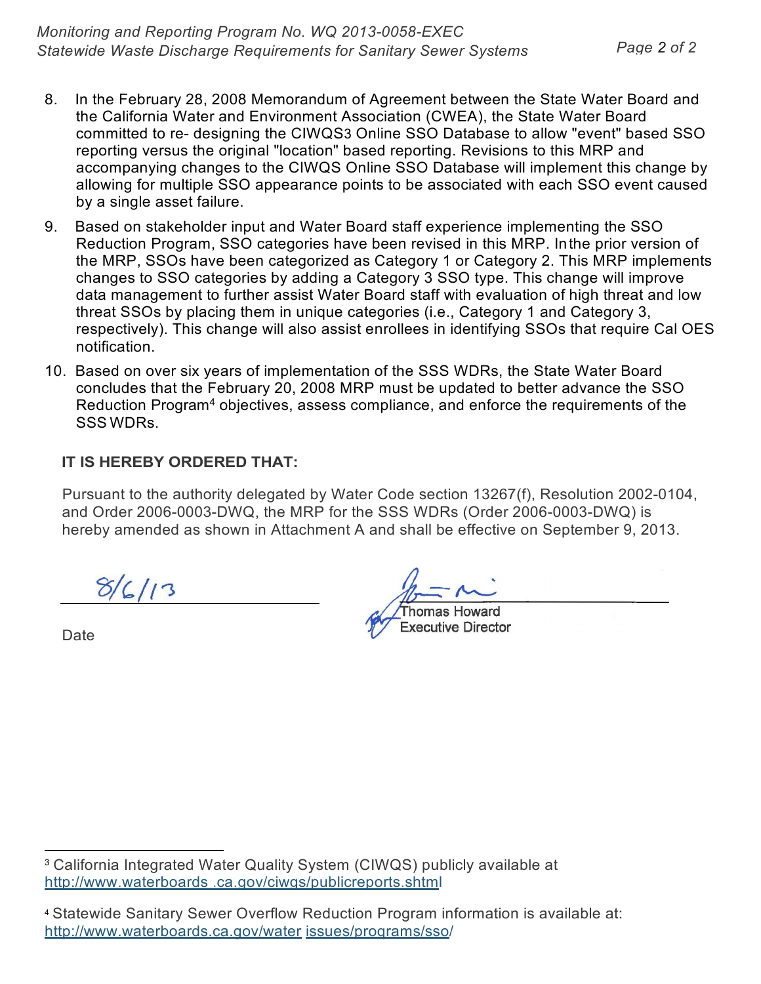- 8. In the February 28, 2008 Memorandum of Agreement between the State Water Board and the California Water and Environment Association (CWEA), the State Water Board committed to re- designing the CIWQS[3](#page-22-0) Online SSO Database to allow "event" based SSO reporting versus the original "location" based reporting. Revisions to this MRP and accompanying changes to the CIWQS Online SSO Database will implement this change by allowing for multiple SSO appearance points to be associated with each SSO event caused by a single asset failure.
- 9. Based on stakeholder input and Water Board staff experience implementing the SSO Reduction Program, SSO categories have been revised in this MRP. Inthe prior version of the MRP, SSOs have been categorized as Category 1 or Category 2. This MRP implements changes to SSO categories by adding a Category 3 SSO type. This change will improve data management to further assist Water Board staff with evaluation of high threat and low threat SSOs by placing them in unique categories (i.e., Category 1 and Category 3, respectively). This change will also assist enrollees in identifying SSOs that require Cal OES notification.
- 10. Based on over six years of implementation of the SSS WDRs, the State Water Board concludes that the February 20, 2008 MRP must be updated to better advance the SSO Reduction Program[4](#page-22-1) objectives, assess compliance, and enforce the requirements of the SSS WDRs.

# **IT IS HEREBY ORDERED THAT:**

Pursuant to the authority delegated by Water Code section 13267(f), Resolution 2002-0104, and Order 2006-0003-DWQ, the MRP for the SSS WDRs (Order 2006-0003-DWQ) is hereby amended as shown in Attachment A and shall be effective on September 9, 2013.

 $8/6/13$ 

Date

homas Howard **Executive Director** 

<span id="page-22-0"></span><sup>3</sup> California Integrated Water Quality System (CIWQS) publicly available at [http://www.waterboards .ca.gov/ciwgs/publicreports.shtml](http://www.waterboards.ca.gov/ciwgs/publicreports.shtml)

<span id="page-22-1"></span><sup>4</sup> Statewide Sanitary Sewer Overflow Reduction Program information is available at: <http://www.waterboards.ca.gov/water> issues/proqrams/sso/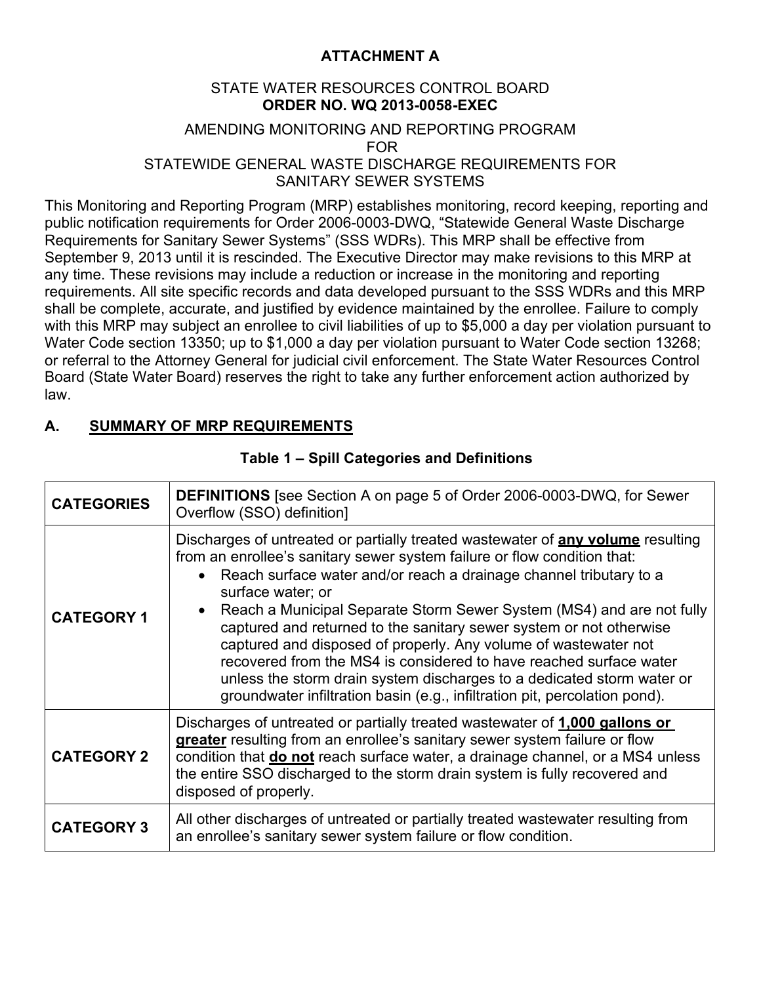# **ATTACHMENT A**

## STATE WATER RESOURCES CONTROL BOARD **ORDER NO. WQ 2013-0058-EXEC**

#### AMENDING MONITORING AND REPORTING PROGRAM FOR STATEWIDE GENERAL WASTE DISCHARGE REQUIREMENTS FOR SANITARY SEWER SYSTEMS

This Monitoring and Reporting Program (MRP) establishes monitoring, record keeping, reporting and public notification requirements for Order 2006-0003-DWQ, "Statewide General Waste Discharge Requirements for Sanitary Sewer Systems" (SSS WDRs). This MRP shall be effective from September 9, 2013 until it is rescinded. The Executive Director may make revisions to this MRP at any time. These revisions may include a reduction or increase in the monitoring and reporting requirements. All site specific records and data developed pursuant to the SSS WDRs and this MRP shall be complete, accurate, and justified by evidence maintained by the enrollee. Failure to comply with this MRP may subject an enrollee to civil liabilities of up to \$5,000 a day per violation pursuant to Water Code section 13350; up to \$1,000 a day per violation pursuant to Water Code section 13268; or referral to the Attorney General for judicial civil enforcement. The State Water Resources Control Board (State Water Board) reserves the right to take any further enforcement action authorized by law.

# **A. SUMMARY OF MRP REQUIREMENTS**

| <b>CATEGORIES</b> | <b>DEFINITIONS</b> [see Section A on page 5 of Order 2006-0003-DWQ, for Sewer<br>Overflow (SSO) definition]                                                                                                                                                                                                                                                                                                                                                                                                                                                                                                                                                                                                                              |  |  |
|-------------------|------------------------------------------------------------------------------------------------------------------------------------------------------------------------------------------------------------------------------------------------------------------------------------------------------------------------------------------------------------------------------------------------------------------------------------------------------------------------------------------------------------------------------------------------------------------------------------------------------------------------------------------------------------------------------------------------------------------------------------------|--|--|
| <b>CATEGORY 1</b> | Discharges of untreated or partially treated wastewater of <b>any volume</b> resulting<br>from an enrollee's sanitary sewer system failure or flow condition that:<br>Reach surface water and/or reach a drainage channel tributary to a<br>$\bullet$<br>surface water; or<br>Reach a Municipal Separate Storm Sewer System (MS4) and are not fully<br>$\bullet$<br>captured and returned to the sanitary sewer system or not otherwise<br>captured and disposed of properly. Any volume of wastewater not<br>recovered from the MS4 is considered to have reached surface water<br>unless the storm drain system discharges to a dedicated storm water or<br>groundwater infiltration basin (e.g., infiltration pit, percolation pond). |  |  |
| <b>CATEGORY 2</b> | Discharges of untreated or partially treated wastewater of 1,000 gallons or<br>greater resulting from an enrollee's sanitary sewer system failure or flow<br>condition that <b>do not</b> reach surface water, a drainage channel, or a MS4 unless<br>the entire SSO discharged to the storm drain system is fully recovered and<br>disposed of properly.                                                                                                                                                                                                                                                                                                                                                                                |  |  |
| <b>CATEGORY 3</b> | All other discharges of untreated or partially treated wastewater resulting from<br>an enrollee's sanitary sewer system failure or flow condition.                                                                                                                                                                                                                                                                                                                                                                                                                                                                                                                                                                                       |  |  |

## **Table 1 – Spill Categories and Definitions**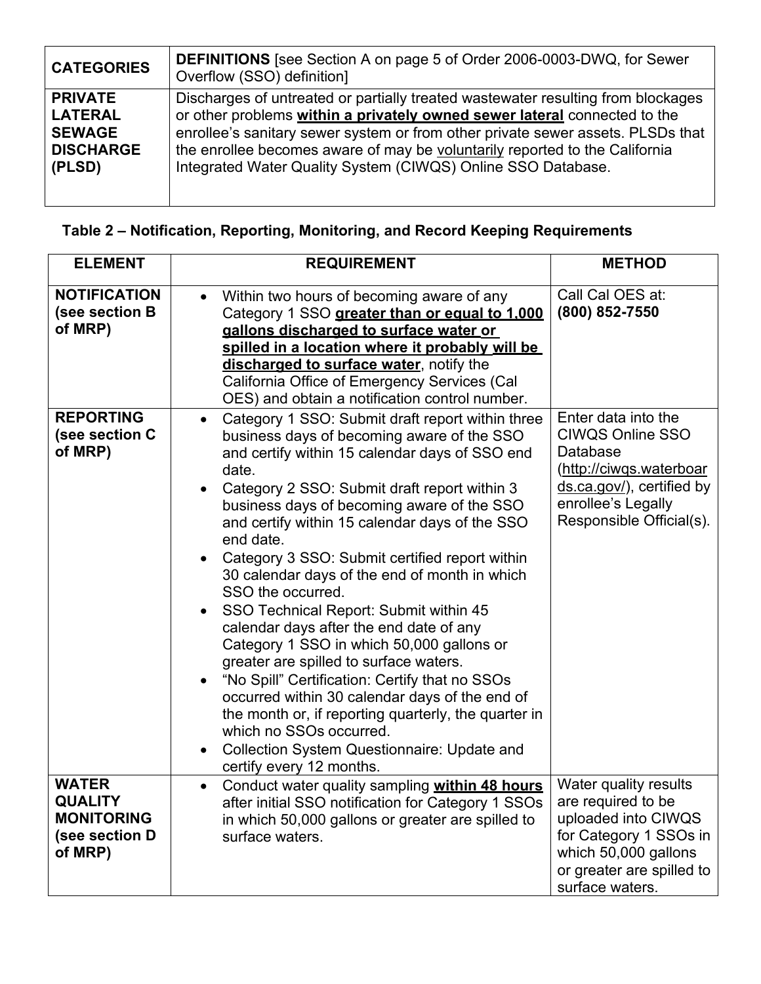| <b>CATEGORIES</b> | <b>DEFINITIONS</b> [see Section A on page 5 of Order 2006-0003-DWQ, for Sewer<br>Overflow (SSO) definition] |
|-------------------|-------------------------------------------------------------------------------------------------------------|
| <b>PRIVATE</b>    | Discharges of untreated or partially treated wastewater resulting from blockages                            |
| <b>LATERAL</b>    | or other problems within a privately owned sewer lateral connected to the                                   |
| <b>SEWAGE</b>     | enrollee's sanitary sewer system or from other private sewer assets. PLSDs that                             |
| <b>DISCHARGE</b>  | the enrollee becomes aware of may be voluntarily reported to the California                                 |
| (PLSD)            | Integrated Water Quality System (CIWQS) Online SSO Database.                                                |

# **Table 2 – Notification, Reporting, Monitoring, and Record Keeping Requirements**

| <b>ELEMENT</b>                                                                   | <b>REQUIREMENT</b>                                                                                                                                                                                                                                                                                                                                                                                                                                                                                                                                                                                                                                                                                                                                                                                                                                                                                  | <b>METHOD</b>                                                                                                                                                        |
|----------------------------------------------------------------------------------|-----------------------------------------------------------------------------------------------------------------------------------------------------------------------------------------------------------------------------------------------------------------------------------------------------------------------------------------------------------------------------------------------------------------------------------------------------------------------------------------------------------------------------------------------------------------------------------------------------------------------------------------------------------------------------------------------------------------------------------------------------------------------------------------------------------------------------------------------------------------------------------------------------|----------------------------------------------------------------------------------------------------------------------------------------------------------------------|
| <b>NOTIFICATION</b><br>(see section B<br>of MRP)                                 | Within two hours of becoming aware of any<br>Category 1 SSO greater than or equal to 1,000<br>gallons discharged to surface water or<br>spilled in a location where it probably will be<br>discharged to surface water, notify the<br>California Office of Emergency Services (Cal<br>OES) and obtain a notification control number.                                                                                                                                                                                                                                                                                                                                                                                                                                                                                                                                                                | Call Cal OES at:<br>(800) 852-7550                                                                                                                                   |
| <b>REPORTING</b><br>(see section C<br>of MRP)                                    | Category 1 SSO: Submit draft report within three<br>business days of becoming aware of the SSO<br>and certify within 15 calendar days of SSO end<br>date.<br>Category 2 SSO: Submit draft report within 3<br>business days of becoming aware of the SSO<br>and certify within 15 calendar days of the SSO<br>end date.<br>Category 3 SSO: Submit certified report within<br>30 calendar days of the end of month in which<br>SSO the occurred.<br>SSO Technical Report: Submit within 45<br>calendar days after the end date of any<br>Category 1 SSO in which 50,000 gallons or<br>greater are spilled to surface waters.<br>"No Spill" Certification: Certify that no SSOs<br>occurred within 30 calendar days of the end of<br>the month or, if reporting quarterly, the quarter in<br>which no SSOs occurred.<br><b>Collection System Questionnaire: Update and</b><br>certify every 12 months. | Enter data into the<br><b>CIWQS Online SSO</b><br>Database<br>(http://ciwqs.waterboar<br>ds.ca.gov/), certified by<br>enrollee's Legally<br>Responsible Official(s). |
| <b>WATER</b><br><b>QUALITY</b><br><b>MONITORING</b><br>(see section D<br>of MRP) | Conduct water quality sampling within 48 hours<br>$\bullet$<br>after initial SSO notification for Category 1 SSOs<br>in which 50,000 gallons or greater are spilled to<br>surface waters.                                                                                                                                                                                                                                                                                                                                                                                                                                                                                                                                                                                                                                                                                                           | Water quality results<br>are required to be<br>uploaded into CIWQS<br>for Category 1 SSOs in<br>which 50,000 gallons<br>or greater are spilled to<br>surface waters. |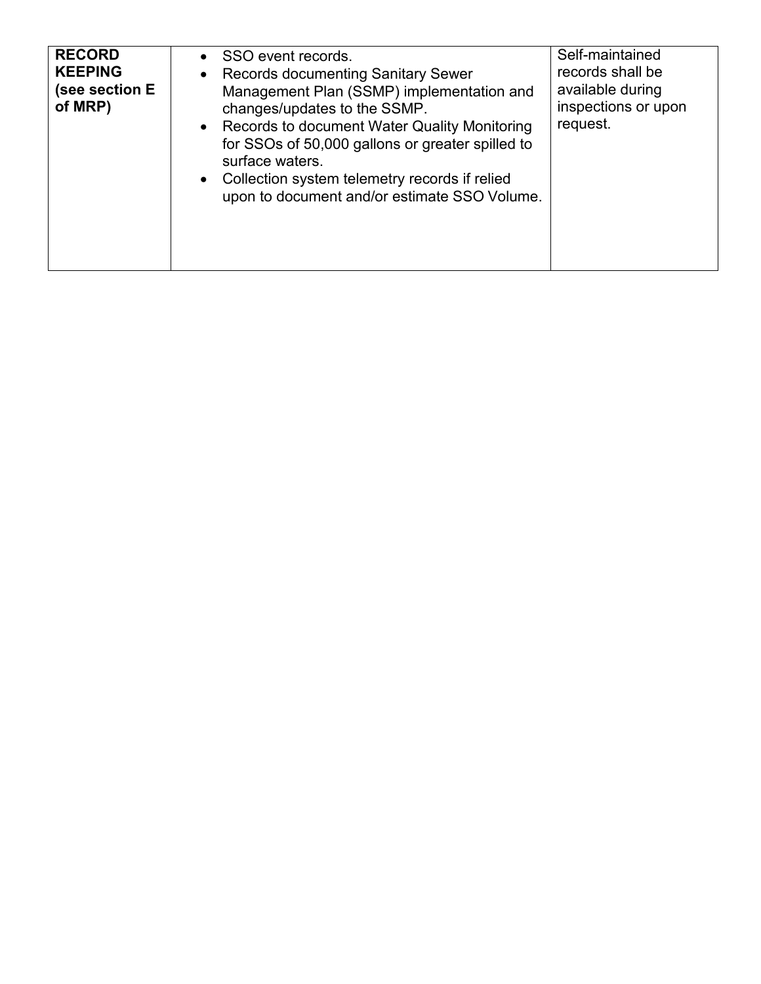| <b>RECORD</b><br><b>KEEPING</b><br>(see section E<br>of MRP) | • SSO event records.<br>• Records documenting Sanitary Sewer<br>Management Plan (SSMP) implementation and<br>changes/updates to the SSMP.<br>• Records to document Water Quality Monitoring<br>for SSOs of 50,000 gallons or greater spilled to<br>surface waters.<br>• Collection system telemetry records if relied<br>upon to document and/or estimate SSO Volume. | Self-maintained<br>records shall be<br>available during<br>inspections or upon<br>request. |
|--------------------------------------------------------------|-----------------------------------------------------------------------------------------------------------------------------------------------------------------------------------------------------------------------------------------------------------------------------------------------------------------------------------------------------------------------|--------------------------------------------------------------------------------------------|
|--------------------------------------------------------------|-----------------------------------------------------------------------------------------------------------------------------------------------------------------------------------------------------------------------------------------------------------------------------------------------------------------------------------------------------------------------|--------------------------------------------------------------------------------------------|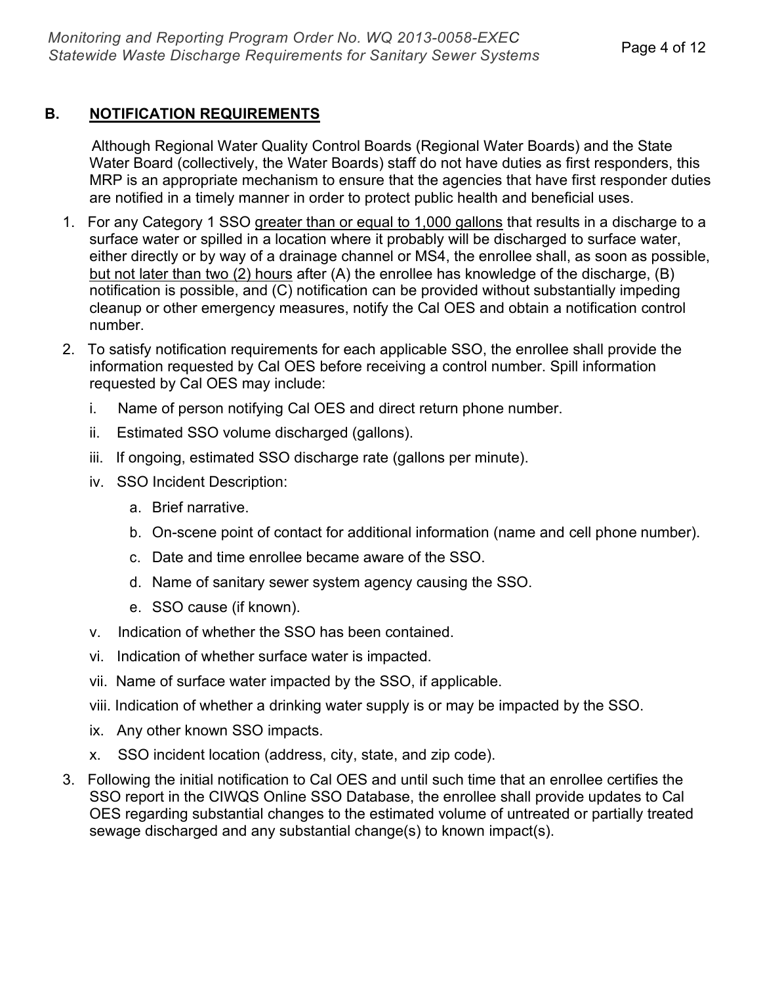# **B. NOTIFICATION REQUIREMENTS**

 Although Regional Water Quality Control Boards (Regional Water Boards) and the State Water Board (collectively, the Water Boards) staff do not have duties as first responders, this MRP is an appropriate mechanism to ensure that the agencies that have first responder duties are notified in a timely manner in order to protect public health and beneficial uses.

- 1. For any Category 1 SSO greater than or equal to 1,000 gallons that results in a discharge to a surface water or spilled in a location where it probably will be discharged to surface water, either directly or by way of a drainage channel or MS4, the enrollee shall, as soon as possible, but not later than two (2) hours after (A) the enrollee has knowledge of the discharge, (B) notification is possible, and (C) notification can be provided without substantially impeding cleanup or other emergency measures, notify the Cal OES and obtain a notification control number.
- 2. To satisfy notification requirements for each applicable SSO, the enrollee shall provide the information requested by Cal OES before receiving a control number. Spill information requested by Cal OES may include:
	- i. Name of person notifying Cal OES and direct return phone number.
	- ii. Estimated SSO volume discharged (gallons).
	- iii. If ongoing, estimated SSO discharge rate (gallons per minute).
	- iv. SSO Incident Description:
		- a. Brief narrative.
		- b. On-scene point of contact for additional information (name and cell phone number).
		- c. Date and time enrollee became aware of the SSO.
		- d. Name of sanitary sewer system agency causing the SSO.
		- e. SSO cause (if known).
	- v. Indication of whether the SSO has been contained.
	- vi. Indication of whether surface water is impacted.
	- vii. Name of surface water impacted by the SSO, if applicable.
	- viii. Indication of whether a drinking water supply is or may be impacted by the SSO.
	- ix. Any other known SSO impacts.
	- x. SSO incident location (address, city, state, and zip code).
- 3. Following the initial notification to Cal OES and until such time that an enrollee certifies the SSO report in the CIWQS Online SSO Database, the enrollee shall provide updates to Cal OES regarding substantial changes to the estimated volume of untreated or partially treated sewage discharged and any substantial change(s) to known impact(s).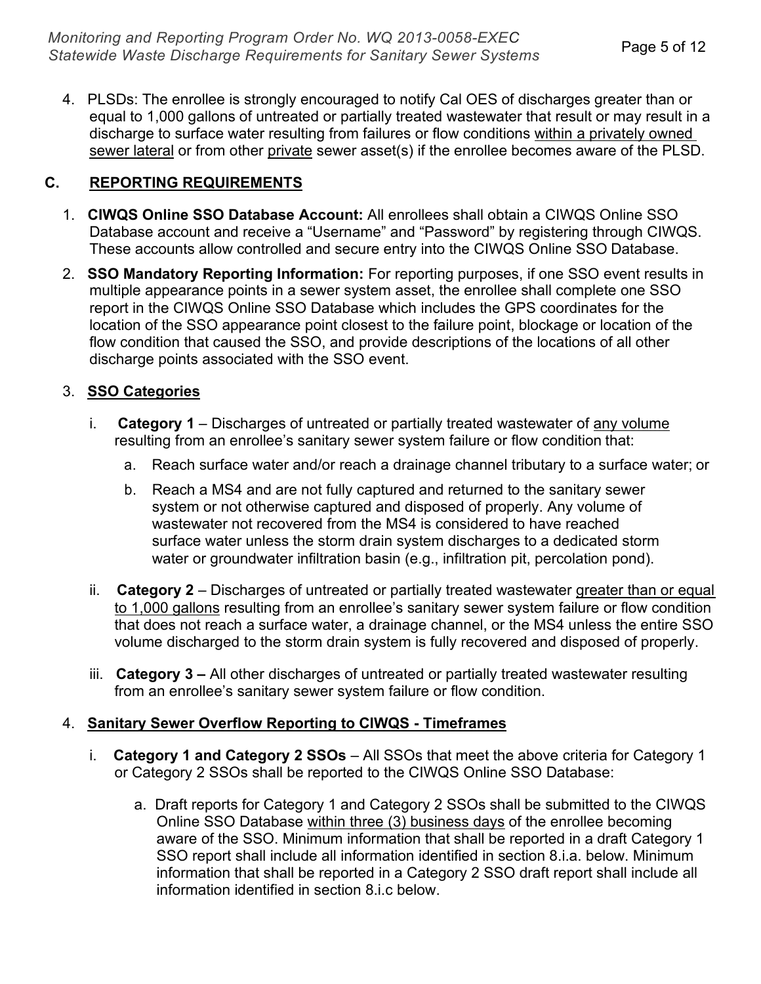4. PLSDs: The enrollee is strongly encouraged to notify Cal OES of discharges greater than or equal to 1,000 gallons of untreated or partially treated wastewater that result or may result in a discharge to surface water resulting from failures or flow conditions within a privately owned sewer lateral or from other private sewer asset(s) if the enrollee becomes aware of the PLSD.

# **C. REPORTING REQUIREMENTS**

- 1. **CIWQS Online SSO Database Account:** All enrollees shall obtain a CIWQS Online SSO Database account and receive a "Username" and "Password" by registering through CIWQS. These accounts allow controlled and secure entry into the CIWQS Online SSO Database.
- 2. **SSO Mandatory Reporting Information:** For reporting purposes, if one SSO event results in multiple appearance points in a sewer system asset, the enrollee shall complete one SSO report in the CIWQS Online SSO Database which includes the GPS coordinates for the location of the SSO appearance point closest to the failure point, blockage or location of the flow condition that caused the SSO, and provide descriptions of the locations of all other discharge points associated with the SSO event.

# 3. **SSO Categories**

- i. **Category 1** Discharges of untreated or partially treated wastewater of any volume resulting from an enrollee's sanitary sewer system failure or flow condition that:
	- a. Reach surface water and/or reach a drainage channel tributary to a surface water; or
	- b. Reach a MS4 and are not fully captured and returned to the sanitary sewer system or not otherwise captured and disposed of properly. Any volume of wastewater not recovered from the MS4 is considered to have reached surface water unless the storm drain system discharges to a dedicated storm water or groundwater infiltration basin (e.g., infiltration pit, percolation pond).
- ii. **Category 2** Discharges of untreated or partially treated wastewater greater than or equal to 1,000 gallons resulting from an enrollee's sanitary sewer system failure or flow condition that does not reach a surface water, a drainage channel, or the MS4 unless the entire SSO volume discharged to the storm drain system is fully recovered and disposed of properly.
- iii. **Category 3 –** All other discharges of untreated or partially treated wastewater resulting from an enrollee's sanitary sewer system failure or flow condition.

#### 4. **Sanitary Sewer Overflow Reporting to CIWQS - Timeframes**

- i. **Category 1 and Category 2 SSOs** All SSOs that meet the above criteria for Category 1 or Category 2 SSOs shall be reported to the CIWQS Online SSO Database:
	- a. Draft reports for Category 1 and Category 2 SSOs shall be submitted to the CIWQS Online SSO Database within three (3) business days of the enrollee becoming aware of the SSO. Minimum information that shall be reported in a draft Category 1 SSO report shall include all information identified in section 8.i.a. below. Minimum information that shall be reported in a Category 2 SSO draft report shall include all information identified in section 8.i.c below.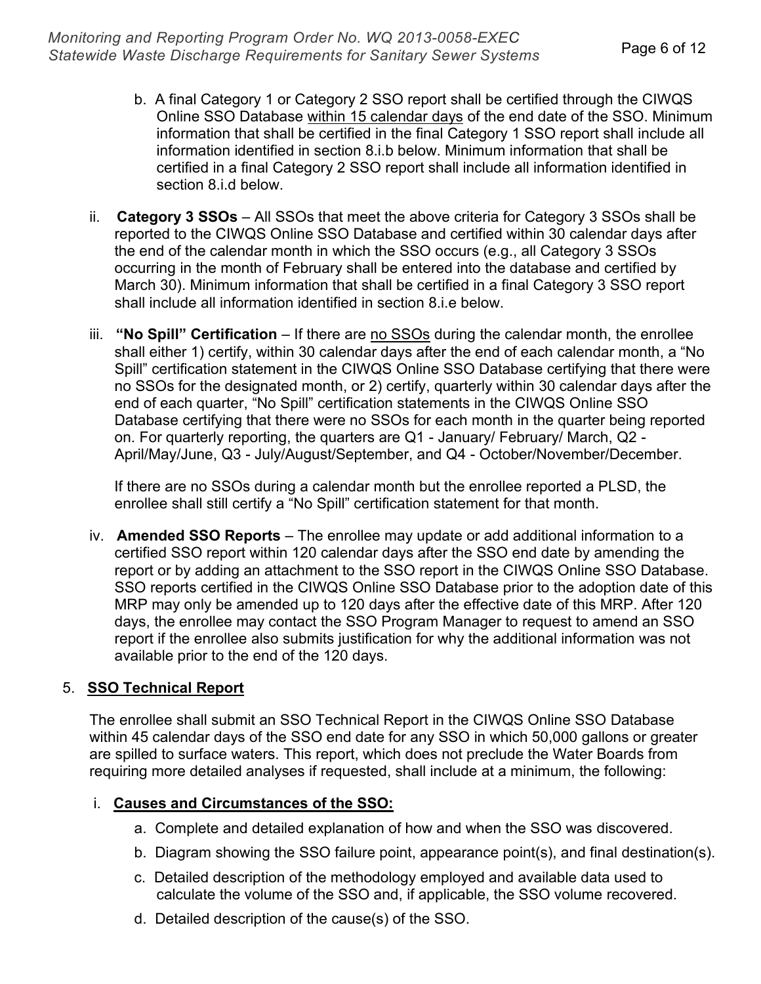- b. A final Category 1 or Category 2 SSO report shall be certified through the CIWQS Online SSO Database within 15 calendar days of the end date of the SSO. Minimum information that shall be certified in the final Category 1 SSO report shall include all information identified in section 8.i.b below. Minimum information that shall be certified in a final Category 2 SSO report shall include all information identified in section 8.i.d below.
- ii. **Category 3 SSOs** All SSOs that meet the above criteria for Category 3 SSOs shall be reported to the CIWQS Online SSO Database and certified within 30 calendar days after the end of the calendar month in which the SSO occurs (e.g., all Category 3 SSOs occurring in the month of February shall be entered into the database and certified by March 30). Minimum information that shall be certified in a final Category 3 SSO report shall include all information identified in section 8.i.e below.
- iii. **"No Spill" Certification** If there are no SSOs during the calendar month, the enrollee shall either 1) certify, within 30 calendar days after the end of each calendar month, a "No Spill" certification statement in the CIWQS Online SSO Database certifying that there were no SSOs for the designated month, or 2) certify, quarterly within 30 calendar days after the end of each quarter, "No Spill" certification statements in the CIWQS Online SSO Database certifying that there were no SSOs for each month in the quarter being reported on. For quarterly reporting, the quarters are Q1 - January/ February/ March, Q2 - April/May/June, Q3 - July/August/September, and Q4 - October/November/December.

 If there are no SSOs during a calendar month but the enrollee reported a PLSD, the enrollee shall still certify a "No Spill" certification statement for that month.

iv. **Amended SSO Reports** – The enrollee may update or add additional information to a certified SSO report within 120 calendar days after the SSO end date by amending the report or by adding an attachment to the SSO report in the CIWQS Online SSO Database. SSO reports certified in the CIWQS Online SSO Database prior to the adoption date of this MRP may only be amended up to 120 days after the effective date of this MRP. After 120 days, the enrollee may contact the SSO Program Manager to request to amend an SSO report if the enrollee also submits justification for why the additional information was not available prior to the end of the 120 days.

# 5. **SSO Technical Report**

The enrollee shall submit an SSO Technical Report in the CIWQS Online SSO Database within 45 calendar days of the SSO end date for any SSO in which 50,000 gallons or greater are spilled to surface waters. This report, which does not preclude the Water Boards from requiring more detailed analyses if requested, shall include at a minimum, the following:

#### i. **Causes and Circumstances of the SSO:**

- a. Complete and detailed explanation of how and when the SSO was discovered.
- b. Diagram showing the SSO failure point, appearance point(s), and final destination(s).
- c. Detailed description of the methodology employed and available data used to calculate the volume of the SSO and, if applicable, the SSO volume recovered.
- d. Detailed description of the cause(s) of the SSO.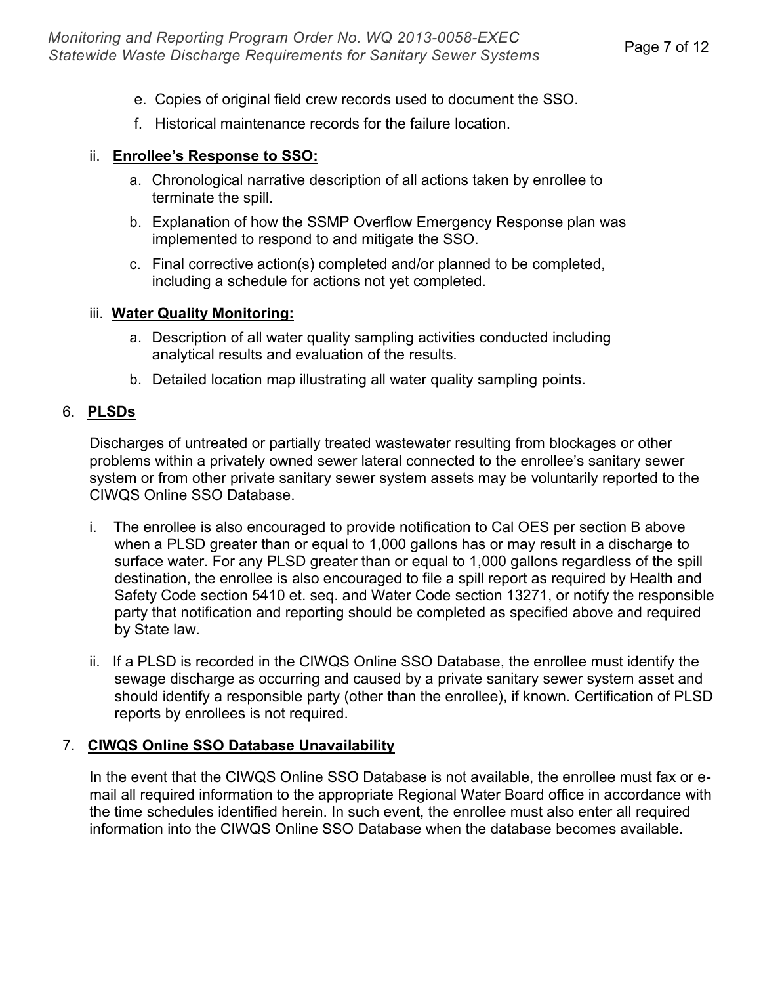- e. Copies of original field crew records used to document the SSO.
- f. Historical maintenance records for the failure location.

# ii. **Enrollee's Response to SSO:**

- a. Chronological narrative description of all actions taken by enrollee to terminate the spill.
- b. Explanation of how the SSMP Overflow Emergency Response plan was implemented to respond to and mitigate the SSO.
- c. Final corrective action(s) completed and/or planned to be completed, including a schedule for actions not yet completed.

# iii. **Water Quality Monitoring:**

- a. Description of all water quality sampling activities conducted including analytical results and evaluation of the results.
- b. Detailed location map illustrating all water quality sampling points.

# 6. **PLSDs**

Discharges of untreated or partially treated wastewater resulting from blockages or other problems within a privately owned sewer lateral connected to the enrollee's sanitary sewer system or from other private sanitary sewer system assets may be voluntarily reported to the CIWQS Online SSO Database.

- i. The enrollee is also encouraged to provide notification to Cal OES per section B above when a PLSD greater than or equal to 1,000 gallons has or may result in a discharge to surface water. For any PLSD greater than or equal to 1,000 gallons regardless of the spill destination, the enrollee is also encouraged to file a spill report as required by Health and Safety Code section 5410 et. seq. and Water Code section 13271, or notify the responsible party that notification and reporting should be completed as specified above and required by State law.
- ii. If a PLSD is recorded in the CIWQS Online SSO Database, the enrollee must identify the sewage discharge as occurring and caused by a private sanitary sewer system asset and should identify a responsible party (other than the enrollee), if known. Certification of PLSD reports by enrollees is not required.

# 7. **CIWQS Online SSO Database Unavailability**

In the event that the CIWQS Online SSO Database is not available, the enrollee must fax or email all required information to the appropriate Regional Water Board office in accordance with the time schedules identified herein. In such event, the enrollee must also enter all required information into the CIWQS Online SSO Database when the database becomes available.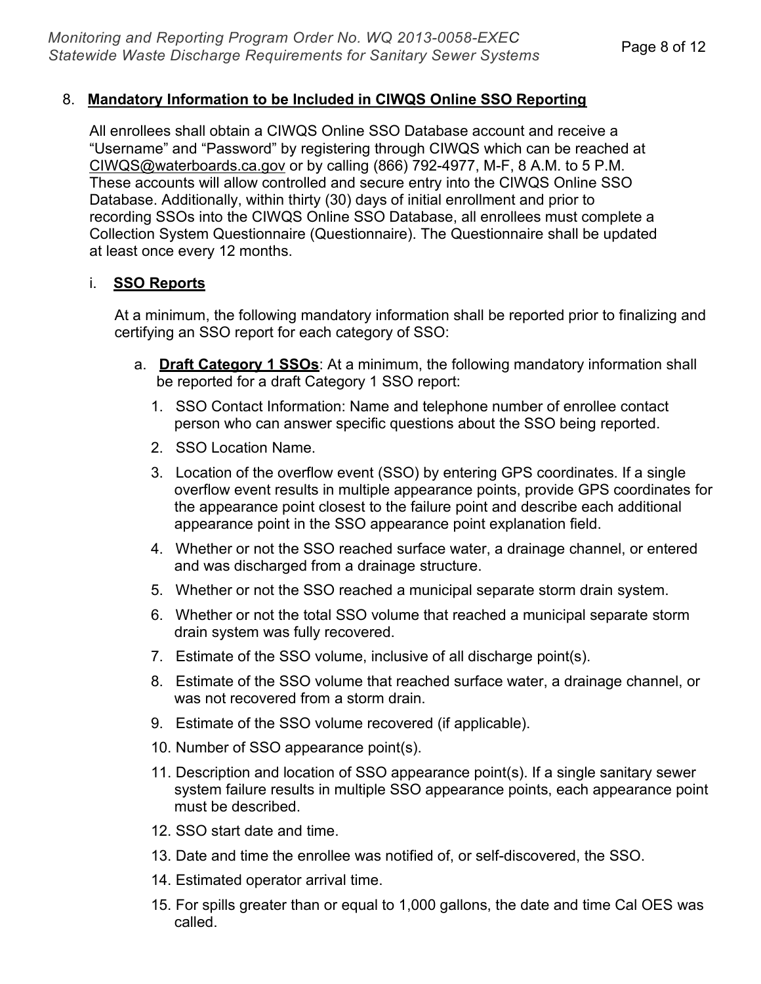## 8. **Mandatory Information to be Included in CIWQS Online SSO Reporting**

All enrollees shall obtain a CIWQS Online SSO Database account and receive a "Username" and "Password" by registering through CIWQS which can be reached at [CIWQS@waterboards.ca.gov](mailto:CIWQS@waterboards.ca.gov) or by calling (866) 792-4977, M-F, 8 A.M. to 5 P.M. These accounts will allow controlled and secure entry into the CIWQS Online SSO Database. Additionally, within thirty (30) days of initial enrollment and prior to recording SSOs into the CIWQS Online SSO Database, all enrollees must complete a Collection System Questionnaire (Questionnaire). The Questionnaire shall be updated at least once every 12 months.

#### i. **SSO Reports**

At a minimum, the following mandatory information shall be reported prior to finalizing and certifying an SSO report for each category of SSO:

- a. **Draft Category 1 SSOs**: At a minimum, the following mandatory information shall be reported for a draft Category 1 SSO report:
	- 1. SSO Contact Information: Name and telephone number of enrollee contact person who can answer specific questions about the SSO being reported.
	- 2. SSO Location Name.
	- 3. Location of the overflow event (SSO) by entering GPS coordinates. If a single overflow event results in multiple appearance points, provide GPS coordinates for the appearance point closest to the failure point and describe each additional appearance point in the SSO appearance point explanation field.
	- 4. Whether or not the SSO reached surface water, a drainage channel, or entered and was discharged from a drainage structure.
	- 5. Whether or not the SSO reached a municipal separate storm drain system.
	- 6. Whether or not the total SSO volume that reached a municipal separate storm drain system was fully recovered.
	- 7. Estimate of the SSO volume, inclusive of all discharge point(s).
	- 8. Estimate of the SSO volume that reached surface water, a drainage channel, or was not recovered from a storm drain.
	- 9. Estimate of the SSO volume recovered (if applicable).
	- 10. Number of SSO appearance point(s).
	- 11. Description and location of SSO appearance point(s). If a single sanitary sewer system failure results in multiple SSO appearance points, each appearance point must be described.
	- 12. SSO start date and time.
	- 13. Date and time the enrollee was notified of, or self-discovered, the SSO.
	- 14. Estimated operator arrival time.
	- 15. For spills greater than or equal to 1,000 gallons, the date and time Cal OES was called.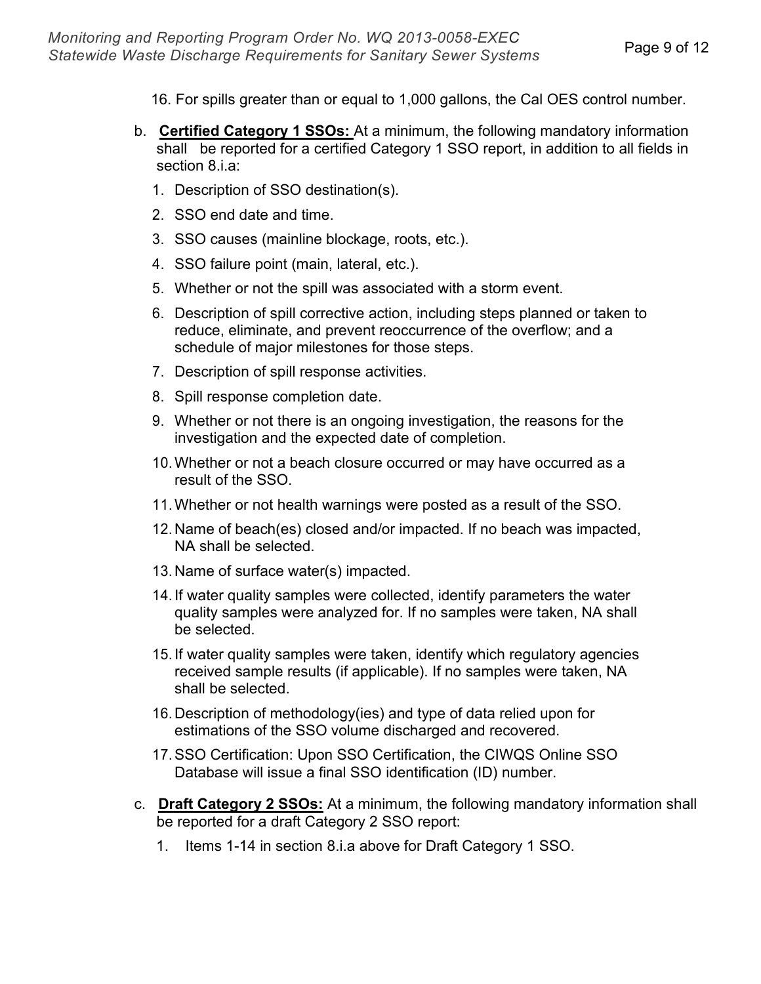- 16. For spills greater than or equal to 1,000 gallons, the Cal OES control number.
- b. **Certified Category 1 SSOs:** At a minimum, the following mandatory information shall be reported for a certified Category 1 SSO report, in addition to all fields in section 8.i.a:
	- 1. Description of SSO destination(s).
	- 2. SSO end date and time.
	- 3. SSO causes (mainline blockage, roots, etc.).
	- 4. SSO failure point (main, lateral, etc.).
	- 5. Whether or not the spill was associated with a storm event.
	- 6. Description of spill corrective action, including steps planned or taken to reduce, eliminate, and prevent reoccurrence of the overflow; and a schedule of major milestones for those steps.
	- 7. Description of spill response activities.
	- 8. Spill response completion date.
	- 9. Whether or not there is an ongoing investigation, the reasons for the investigation and the expected date of completion.
	- 10.Whether or not a beach closure occurred or may have occurred as a result of the SSO.
	- 11.Whether or not health warnings were posted as a result of the SSO.
	- 12. Name of beach(es) closed and/or impacted. If no beach was impacted, NA shall be selected.
	- 13. Name of surface water(s) impacted.
	- 14. If water quality samples were collected, identify parameters the water quality samples were analyzed for. If no samples were taken, NA shall be selected.
	- 15. If water quality samples were taken, identify which regulatory agencies received sample results (if applicable). If no samples were taken, NA shall be selected.
	- 16. Description of methodology(ies) and type of data relied upon for estimations of the SSO volume discharged and recovered.
	- 17.SSO Certification: Upon SSO Certification, the CIWQS Online SSO Database will issue a final SSO identification (ID) number.
- c. **Draft Category 2 SSOs:** At a minimum, the following mandatory information shall be reported for a draft Category 2 SSO report:
	- 1. Items 1-14 in section 8.i.a above for Draft Category 1 SSO.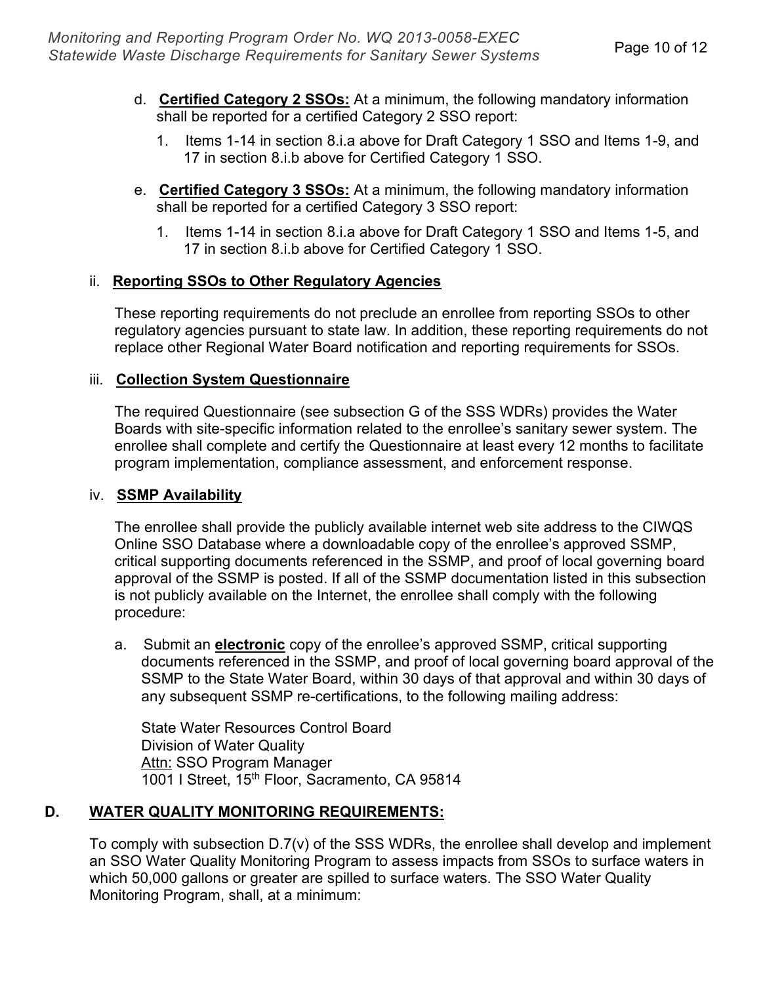- d. **Certified Category 2 SSOs:** At a minimum, the following mandatory information shall be reported for a certified Category 2 SSO report:
	- 1. Items 1-14 in section 8.i.a above for Draft Category 1 SSO and Items 1-9, and 17 in section 8.i.b above for Certified Category 1 SSO.
- e. **Certified Category 3 SSOs:** At a minimum, the following mandatory information shall be reported for a certified Category 3 SSO report:
	- 1. Items 1-14 in section 8.i.a above for Draft Category 1 SSO and Items 1-5, and 17 in section 8.i.b above for Certified Category 1 SSO.

# ii. **Reporting SSOs to Other Regulatory Agencies**

These reporting requirements do not preclude an enrollee from reporting SSOs to other regulatory agencies pursuant to state law. In addition, these reporting requirements do not replace other Regional Water Board notification and reporting requirements for SSOs.

# iii. **Collection System Questionnaire**

The required Questionnaire (see subsection G of the SSS WDRs) provides the Water Boards with site-specific information related to the enrollee's sanitary sewer system. The enrollee shall complete and certify the Questionnaire at least every 12 months to facilitate program implementation, compliance assessment, and enforcement response.

# iv. **SSMP Availability**

The enrollee shall provide the publicly available internet web site address to the CIWQS Online SSO Database where a downloadable copy of the enrollee's approved SSMP, critical supporting documents referenced in the SSMP, and proof of local governing board approval of the SSMP is posted. If all of the SSMP documentation listed in this subsection is not publicly available on the Internet, the enrollee shall comply with the following procedure:

a. Submit an **electronic** copy of the enrollee's approved SSMP, critical supporting documents referenced in the SSMP, and proof of local governing board approval of the SSMP to the State Water Board, within 30 days of that approval and within 30 days of any subsequent SSMP re-certifications, to the following mailing address:

State Water Resources Control Board Division of Water Quality Attn: SSO Program Manager 1001 I Street, 15th Floor, Sacramento, CA 95814

# **D. WATER QUALITY MONITORING REQUIREMENTS:**

To comply with subsection D.7(v) of the SSS WDRs, the enrollee shall develop and implement an SSO Water Quality Monitoring Program to assess impacts from SSOs to surface waters in which 50,000 gallons or greater are spilled to surface waters. The SSO Water Quality Monitoring Program, shall, at a minimum: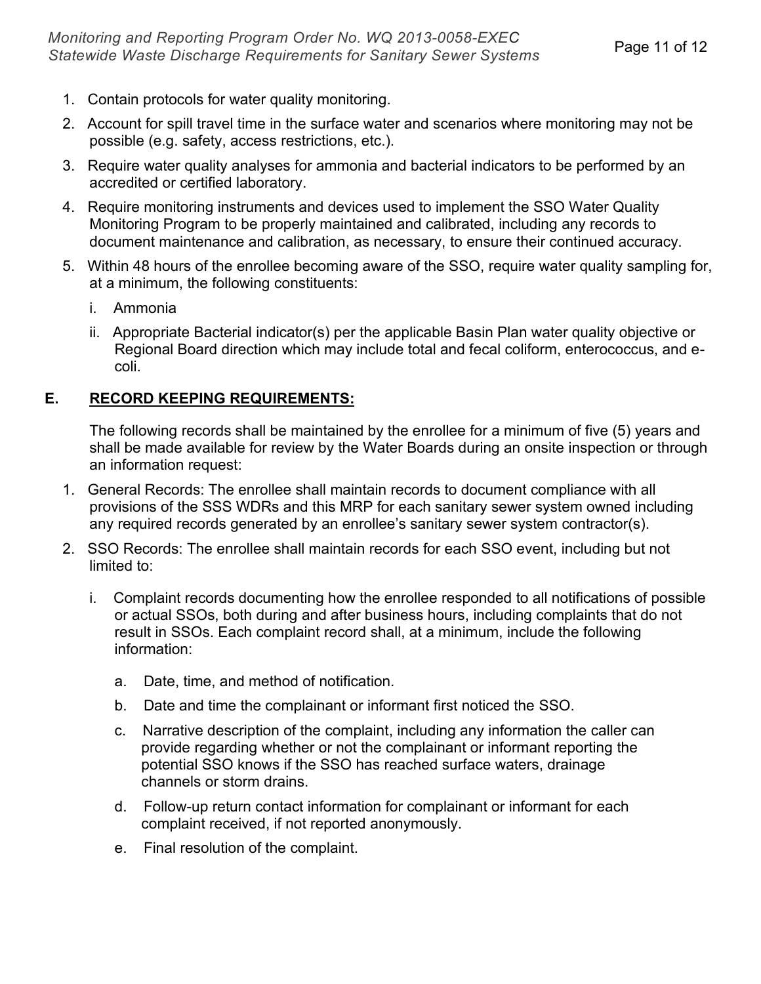- 1. Contain protocols for water quality monitoring.
- 2. Account for spill travel time in the surface water and scenarios where monitoring may not be possible (e.g. safety, access restrictions, etc.).
- 3. Require water quality analyses for ammonia and bacterial indicators to be performed by an accredited or certified laboratory.
- 4. Require monitoring instruments and devices used to implement the SSO Water Quality Monitoring Program to be properly maintained and calibrated, including any records to document maintenance and calibration, as necessary, to ensure their continued accuracy.
- 5. Within 48 hours of the enrollee becoming aware of the SSO, require water quality sampling for, at a minimum, the following constituents:
	- i. Ammonia
	- ii. Appropriate Bacterial indicator(s) per the applicable Basin Plan water quality objective or Regional Board direction which may include total and fecal coliform, enterococcus, and ecoli.

# **E. RECORD KEEPING REQUIREMENTS:**

The following records shall be maintained by the enrollee for a minimum of five (5) years and shall be made available for review by the Water Boards during an onsite inspection or through an information request:

- 1. General Records: The enrollee shall maintain records to document compliance with all provisions of the SSS WDRs and this MRP for each sanitary sewer system owned including any required records generated by an enrollee's sanitary sewer system contractor(s).
- 2. SSO Records: The enrollee shall maintain records for each SSO event, including but not limited to:
	- i. Complaint records documenting how the enrollee responded to all notifications of possible or actual SSOs, both during and after business hours, including complaints that do not result in SSOs. Each complaint record shall, at a minimum, include the following information:
		- a. Date, time, and method of notification.
		- b. Date and time the complainant or informant first noticed the SSO.
		- c. Narrative description of the complaint, including any information the caller can provide regarding whether or not the complainant or informant reporting the potential SSO knows if the SSO has reached surface waters, drainage channels or storm drains.
		- d. Follow-up return contact information for complainant or informant for each complaint received, if not reported anonymously.
		- e. Final resolution of the complaint.